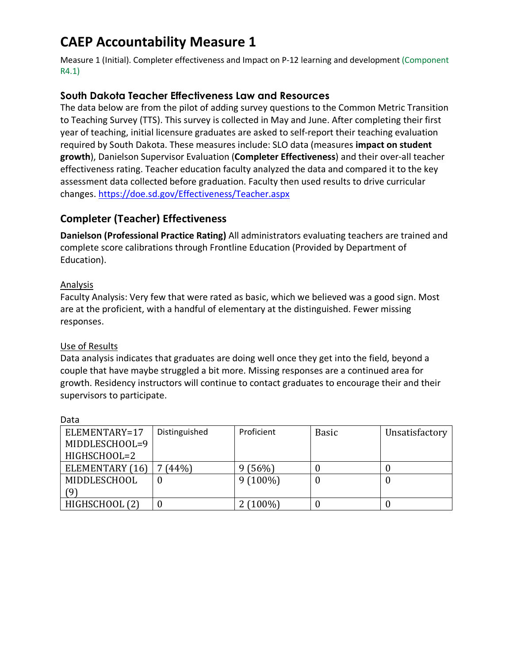# **CAEP Accountability Measure 1**

Measure 1 (Initial). Completer effectiveness and Impact on P-12 learning and development (Component R4.1)

## **South Dakota Teacher Effectiveness Law and Resources**

The data below are from the pilot of adding survey questions to the Common Metric Transition to Teaching Survey (TTS). This survey is collected in May and June. After completing their first year of teaching, initial licensure graduates are asked to self-report their teaching evaluation required by South Dakota. These measures include: SLO data (measures **impact on student growth**), Danielson Supervisor Evaluation (**Completer Effectiveness**) and their over-all teacher effectiveness rating. Teacher education faculty analyzed the data and compared it to the key assessment data collected before graduation. Faculty then used results to drive curricular changes. https://doe.sd.gov/Effectiveness/Teacher.aspx

## **Completer (Teacher) Effectiveness**

**Danielson (Professional Practice Rating)** All administrators evaluating teachers are trained and complete score calibrations through Frontline Education (Provided by Department of Education).

### Analysis

Faculty Analysis: Very few that were rated as basic, which we believed was a good sign. Most are at the proficient, with a handful of elementary at the distinguished. Fewer missing responses.

### Use of Results

Data analysis indicates that graduates are doing well once they get into the field, beyond a couple that have maybe struggled a bit more. Missing responses are a continued area for growth. Residency instructors will continue to contact graduates to encourage their and their supervisors to participate.

| ELEMENTARY=17   | Distinguished | Proficient | <b>Basic</b> | Unsatisfactory |
|-----------------|---------------|------------|--------------|----------------|
| MIDDLESCHOOL=9  |               |            |              |                |
| HIGHSCHOOL=2    |               |            |              |                |
| ELEMENTARY (16) | (44%)         | 9(56%)     |              |                |
| MIDDLESCHOOL    | υ             | $9(100\%)$ |              |                |
| (9)             |               |            |              |                |
| HIGHSCHOOL (2)  |               | $2(100\%)$ |              |                |

Data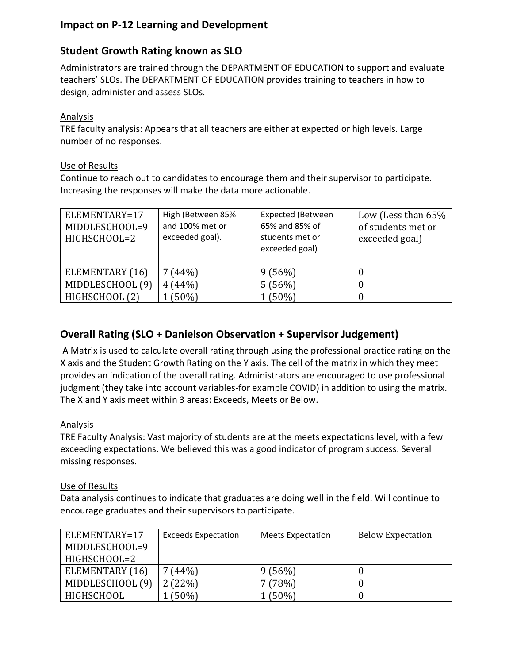## **Impact on P-12 Learning and Development**

## **Student Growth Rating known as SLO**

Administrators are trained through the DEPARTMENT OF EDUCATION to support and evaluate teachers' SLOs. The DEPARTMENT OF EDUCATION provides training to teachers in how to design, administer and assess SLOs.

### Analysis

TRE faculty analysis: Appears that all teachers are either at expected or high levels. Large number of no responses.

### Use of Results

Continue to reach out to candidates to encourage them and their supervisor to participate. Increasing the responses will make the data more actionable.

| ELEMENTARY=17<br>MIDDLESCHOOL=9<br>HIGHSCHOOL=2 | High (Between 85%<br>and 100% met or<br>exceeded goal). | <b>Expected (Between</b><br>65% and 85% of<br>students met or<br>exceeded goal) | Low (Less than $65%$<br>of students met or<br>exceeded goal) |
|-------------------------------------------------|---------------------------------------------------------|---------------------------------------------------------------------------------|--------------------------------------------------------------|
| ELEMENTARY (16)                                 | (44%)                                                   | 9(56%)                                                                          |                                                              |
| MIDDLESCHOOL (9)                                | 4(44%)                                                  | 5(56%)                                                                          |                                                              |
| HIGHSCHOOL (2)                                  | $(50\%)$                                                | (50%)                                                                           |                                                              |

## **Overall Rating (SLO + Danielson Observation + Supervisor Judgement)**

A Matrix is used to calculate overall rating through using the professional practice rating on the X axis and the Student Growth Rating on the Y axis. The cell of the matrix in which they meet provides an indication of the overall rating. Administrators are encouraged to use professional judgment (they take into account variables-for example COVID) in addition to using the matrix. The X and Y axis meet within 3 areas: Exceeds, Meets or Below.

### Analysis

TRE Faculty Analysis: Vast majority of students are at the meets expectations level, with a few exceeding expectations. We believed this was a good indicator of program success. Several missing responses.

### Use of Results

Data analysis continues to indicate that graduates are doing well in the field. Will continue to encourage graduates and their supervisors to participate.

| ELEMENTARY=17    | <b>Exceeds Expectation</b> | <b>Meets Expectation</b> | <b>Below Expectation</b> |
|------------------|----------------------------|--------------------------|--------------------------|
| MIDDLESCHOOL=9   |                            |                          |                          |
| HIGHSCHOOL=2     |                            |                          |                          |
| ELEMENTARY (16)  | (44%)                      | 9(56%)                   |                          |
| MIDDLESCHOOL (9) | 2(22%)                     | (78%)                    |                          |
| HIGHSCHOOL       | $(50\%)$                   | (50%)                    |                          |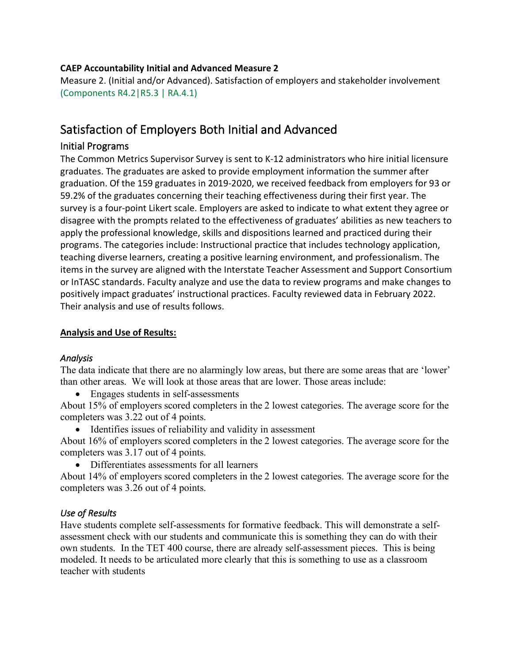### **CAEP Accountability Initial and Advanced Measure 2**

Measure 2. (Initial and/or Advanced). Satisfaction of employers and stakeholder involvement (Components R4.2|R5.3 | RA.4.1)

## Satisfaction of Employers Both Initial and Advanced

### Initial Programs

The Common Metrics Supervisor Survey is sent to K-12 administrators who hire initial licensure graduates. The graduates are asked to provide employment information the summer after graduation. Of the 159 graduates in 2019-2020, we received feedback from employers for 93 or 59.2% of the graduates concerning their teaching effectiveness during their first year. The survey is a four-point Likert scale. Employers are asked to indicate to what extent they agree or disagree with the prompts related to the effectiveness of graduates' abilities as new teachers to apply the professional knowledge, skills and dispositions learned and practiced during their programs. The categories include: Instructional practice that includes technology application, teaching diverse learners, creating a positive learning environment, and professionalism. The items in the survey are aligned with the Interstate Teacher Assessment and Support Consortium or InTASC standards. Faculty analyze and use the data to review programs and make changes to positively impact graduates' instructional practices. Faculty reviewed data in February 2022. Their analysis and use of results follows.

### **Analysis and Use of Results:**

### *Analysis*

The data indicate that there are no alarmingly low areas, but there are some areas that are 'lower' than other areas. We will look at those areas that are lower. Those areas include:

• Engages students in self-assessments

About 15% of employers scored completers in the 2 lowest categories. The average score for the completers was 3.22 out of 4 points.

• Identifies issues of reliability and validity in assessment

About 16% of employers scored completers in the 2 lowest categories. The average score for the completers was 3.17 out of 4 points.

• Differentiates assessments for all learners

About 14% of employers scored completers in the 2 lowest categories. The average score for the completers was 3.26 out of 4 points.

### *Use of Results*

Have students complete self-assessments for formative feedback. This will demonstrate a selfassessment check with our students and communicate this is something they can do with their own students. In the TET 400 course, there are already self-assessment pieces. This is being modeled. It needs to be articulated more clearly that this is something to use as a classroom teacher with students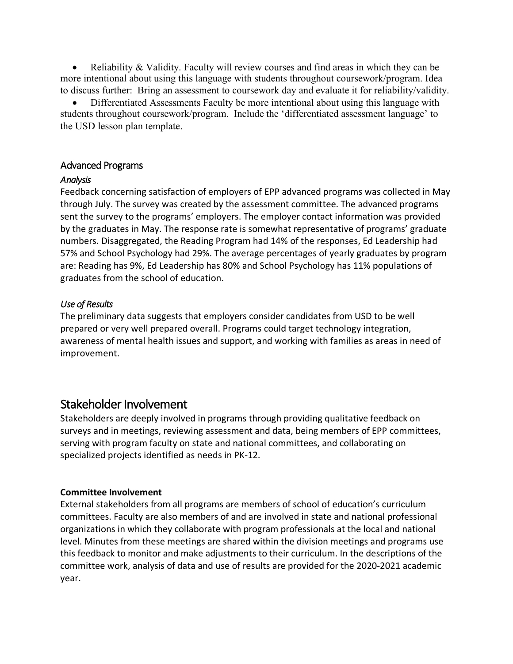Reliability  $\&$  Validity. Faculty will review courses and find areas in which they can be more intentional about using this language with students throughout coursework/program. Idea to discuss further: Bring an assessment to coursework day and evaluate it for reliability/validity.

• Differentiated Assessments Faculty be more intentional about using this language with students throughout coursework/program. Include the 'differentiated assessment language' to the USD lesson plan template.

### Advanced Programs

### *Analysis*

Feedback concerning satisfaction of employers of EPP advanced programs was collected in May through July. The survey was created by the assessment committee. The advanced programs sent the survey to the programs' employers. The employer contact information was provided by the graduates in May. The response rate is somewhat representative of programs' graduate numbers. Disaggregated, the Reading Program had 14% of the responses, Ed Leadership had 57% and School Psychology had 29%. The average percentages of yearly graduates by program are: Reading has 9%, Ed Leadership has 80% and School Psychology has 11% populations of graduates from the school of education.

#### *Use of Results*

The preliminary data suggests that employers consider candidates from USD to be well prepared or very well prepared overall. Programs could target technology integration, awareness of mental health issues and support, and working with families as areas in need of improvement.

## Stakeholder Involvement

Stakeholders are deeply involved in programs through providing qualitative feedback on surveys and in meetings, reviewing assessment and data, being members of EPP committees, serving with program faculty on state and national committees, and collaborating on specialized projects identified as needs in PK-12.

#### **Committee Involvement**

External stakeholders from all programs are members of school of education's curriculum committees. Faculty are also members of and are involved in state and national professional organizations in which they collaborate with program professionals at the local and national level. Minutes from these meetings are shared within the division meetings and programs use this feedback to monitor and make adjustments to their curriculum. In the descriptions of the committee work, analysis of data and use of results are provided for the 2020-2021 academic year.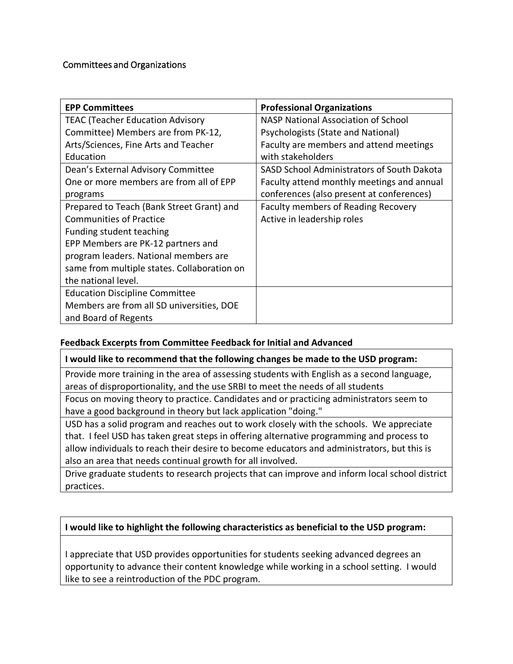### Committees and Organizations

| <b>EPP Committees</b>                       | <b>Professional Organizations</b>          |
|---------------------------------------------|--------------------------------------------|
| <b>TEAC (Teacher Education Advisory</b>     | NASP National Association of School        |
| Committee) Members are from PK-12,          | Psychologists (State and National)         |
| Arts/Sciences, Fine Arts and Teacher        | Faculty are members and attend meetings    |
| Education                                   | with stakeholders                          |
| Dean's External Advisory Committee          | SASD School Administrators of South Dakota |
| One or more members are from all of EPP     | Faculty attend monthly meetings and annual |
| programs                                    | conferences (also present at conferences)  |
| Prepared to Teach (Bank Street Grant) and   | Faculty members of Reading Recovery        |
| <b>Communities of Practice</b>              | Active in leadership roles                 |
| Funding student teaching                    |                                            |
| EPP Members are PK-12 partners and          |                                            |
| program leaders. National members are       |                                            |
| same from multiple states. Collaboration on |                                            |
| the national level.                         |                                            |
| <b>Education Discipline Committee</b>       |                                            |
| Members are from all SD universities, DOE   |                                            |
| and Board of Regents                        |                                            |

### **Feedback Excerpts from Committee Feedback for Initial and Advanced**

#### **I would like to recommend that the following changes be made to the USD program:**

Provide more training in the area of assessing students with English as a second language, areas of disproportionality, and the use SRBI to meet the needs of all students

Focus on moving theory to practice. Candidates and or practicing administrators seem to have a good background in theory but lack application "doing."

USD has a solid program and reaches out to work closely with the schools. We appreciate that. I feel USD has taken great steps in offering alternative programming and process to allow individuals to reach their desire to become educators and administrators, but this is also an area that needs continual growth for all involved.

Drive graduate students to research projects that can improve and inform local school district practices.

### **I would like to highlight the following characteristics as beneficial to the USD program:**

I appreciate that USD provides opportunities for students seeking advanced degrees an opportunity to advance their content knowledge while working in a school setting. I would like to see a reintroduction of the PDC program.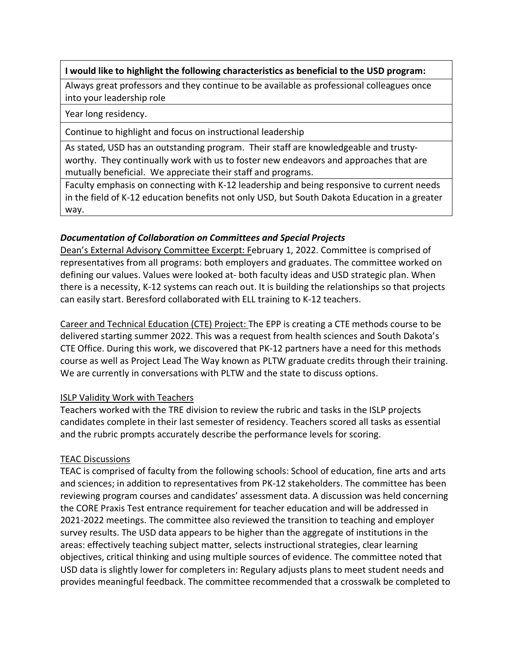### **I would like to highlight the following characteristics as beneficial to the USD program:**

Always great professors and they continue to be available as professional colleagues once into your leadership role

Year long residency.

Continue to highlight and focus on instructional leadership

As stated, USD has an outstanding program. Their staff are knowledgeable and trustyworthy. They continually work with us to foster new endeavors and approaches that are mutually beneficial. We appreciate their staff and programs.

Faculty emphasis on connecting with K-12 leadership and being responsive to current needs in the field of K-12 education benefits not only USD, but South Dakota Education in a greater way.

### *Documentation of Collaboration on Committees and Special Projects*

Dean's External Advisory Committee Excerpt: February 1, 2022. Committee is comprised of representatives from all programs: both employers and graduates. The committee worked on defining our values. Values were looked at- both faculty ideas and USD strategic plan. When there is a necessity, K-12 systems can reach out. It is building the relationships so that projects can easily start. Beresford collaborated with ELL training to K-12 teachers.

Career and Technical Education (CTE) Project: The EPP is creating a CTE methods course to be delivered starting summer 2022. This was a request from health sciences and South Dakota's CTE Office. During this work, we discovered that PK-12 partners have a need for this methods course as well as Project Lead The Way known as PLTW graduate credits through their training. We are currently in conversations with PLTW and the state to discuss options.

### ISLP Validity Work with Teachers

Teachers worked with the TRE division to review the rubric and tasks in the ISLP projects candidates complete in their last semester of residency. Teachers scored all tasks as essential and the rubric prompts accurately describe the performance levels for scoring.

#### TEAC Discussions

TEAC is comprised of faculty from the following schools: School of education, fine arts and arts and sciences; in addition to representatives from PK-12 stakeholders. The committee has been reviewing program courses and candidates' assessment data. A discussion was held concerning the CORE Praxis Test entrance requirement for teacher education and will be addressed in 2021-2022 meetings. The committee also reviewed the transition to teaching and employer survey results. The USD data appears to be higher than the aggregate of institutions in the areas: effectively teaching subject matter, selects instructional strategies, clear learning objectives, critical thinking and using multiple sources of evidence. The committee noted that USD data is slightly lower for completers in: Regulary adjusts plans to meet student needs and provides meaningful feedback. The committee recommended that a crosswalk be completed to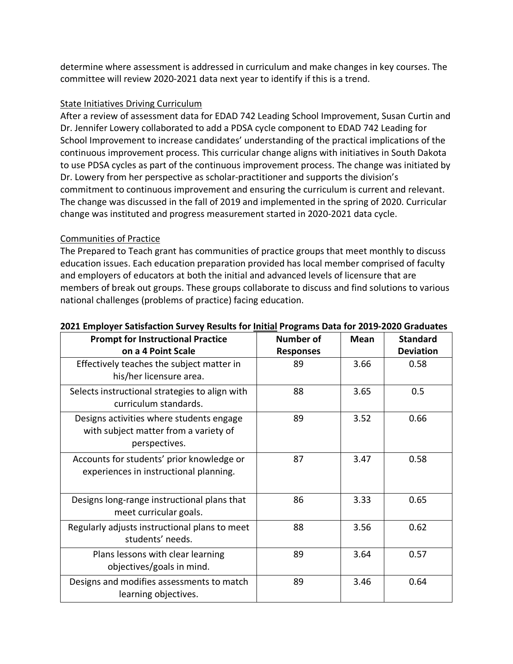determine where assessment is addressed in curriculum and make changes in key courses. The committee will review 2020-2021 data next year to identify if this is a trend.

### State Initiatives Driving Curriculum

After a review of assessment data for EDAD 742 Leading School Improvement, Susan Curtin and Dr. Jennifer Lowery collaborated to add a PDSA cycle component to EDAD 742 Leading for School Improvement to increase candidates' understanding of the practical implications of the continuous improvement process. This curricular change aligns with initiatives in South Dakota to use PDSA cycles as part of the continuous improvement process. The change was initiated by Dr. Lowery from her perspective as scholar-practitioner and supports the division's commitment to continuous improvement and ensuring the curriculum is current and relevant. The change was discussed in the fall of 2019 and implemented in the spring of 2020. Curricular change was instituted and progress measurement started in 2020-2021 data cycle.

### Communities of Practice

The Prepared to Teach grant has communities of practice groups that meet monthly to discuss education issues. Each education preparation provided has local member comprised of faculty and employers of educators at both the initial and advanced levels of licensure that are members of break out groups. These groups collaborate to discuss and find solutions to various national challenges (problems of practice) facing education.

| <b>Prompt for Instructional Practice</b>                                                           | <b>Number of</b> | <b>Mean</b> | <b>Standard</b>  |
|----------------------------------------------------------------------------------------------------|------------------|-------------|------------------|
| on a 4 Point Scale                                                                                 | <b>Responses</b> |             | <b>Deviation</b> |
| Effectively teaches the subject matter in<br>his/her licensure area.                               | 89               | 3.66        | 0.58             |
| Selects instructional strategies to align with<br>curriculum standards.                            | 88               | 3.65        | 0.5              |
| Designs activities where students engage<br>with subject matter from a variety of<br>perspectives. | 89               | 3.52        | 0.66             |
| Accounts for students' prior knowledge or<br>experiences in instructional planning.                | 87               | 3.47        | 0.58             |
| Designs long-range instructional plans that<br>meet curricular goals.                              | 86               | 3.33        | 0.65             |
| Regularly adjusts instructional plans to meet<br>students' needs.                                  | 88               | 3.56        | 0.62             |
| Plans lessons with clear learning<br>objectives/goals in mind.                                     | 89               | 3.64        | 0.57             |
| Designs and modifies assessments to match<br>learning objectives.                                  | 89               | 3.46        | 0.64             |

### **2021 Employer Satisfaction Survey Results for Initial Programs Data for 2019-2020 Graduates**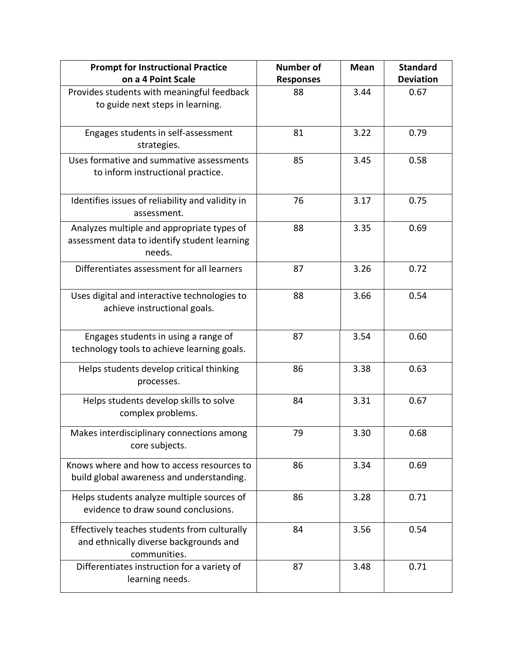| <b>Prompt for Instructional Practice</b><br>on a 4 Point Scale                                         | <b>Number of</b><br><b>Responses</b> | <b>Mean</b> | <b>Standard</b><br><b>Deviation</b> |
|--------------------------------------------------------------------------------------------------------|--------------------------------------|-------------|-------------------------------------|
| Provides students with meaningful feedback<br>to guide next steps in learning.                         | 88                                   | 3.44        | 0.67                                |
| Engages students in self-assessment<br>strategies.                                                     | 81                                   | 3.22        | 0.79                                |
| Uses formative and summative assessments<br>to inform instructional practice.                          | 85                                   | 3.45        | 0.58                                |
| Identifies issues of reliability and validity in<br>assessment.                                        | 76                                   | 3.17        | 0.75                                |
| Analyzes multiple and appropriate types of<br>assessment data to identify student learning<br>needs.   | 88                                   | 3.35        | 0.69                                |
| Differentiates assessment for all learners                                                             | 87                                   | 3.26        | 0.72                                |
| Uses digital and interactive technologies to<br>achieve instructional goals.                           | 88                                   | 3.66        | 0.54                                |
| Engages students in using a range of<br>technology tools to achieve learning goals.                    | 87                                   | 3.54        | 0.60                                |
| Helps students develop critical thinking<br>processes.                                                 | 86                                   | 3.38        | 0.63                                |
| Helps students develop skills to solve<br>complex problems.                                            | 84                                   | 3.31        | 0.67                                |
| Makes interdisciplinary connections among<br>core subjects.                                            | 79                                   | 3.30        | 0.68                                |
| Knows where and how to access resources to<br>build global awareness and understanding.                | 86                                   | 3.34        | 0.69                                |
| Helps students analyze multiple sources of<br>evidence to draw sound conclusions.                      | 86                                   | 3.28        | 0.71                                |
| Effectively teaches students from culturally<br>and ethnically diverse backgrounds and<br>communities. | 84                                   | 3.56        | 0.54                                |
| Differentiates instruction for a variety of<br>learning needs.                                         | 87                                   | 3.48        | 0.71                                |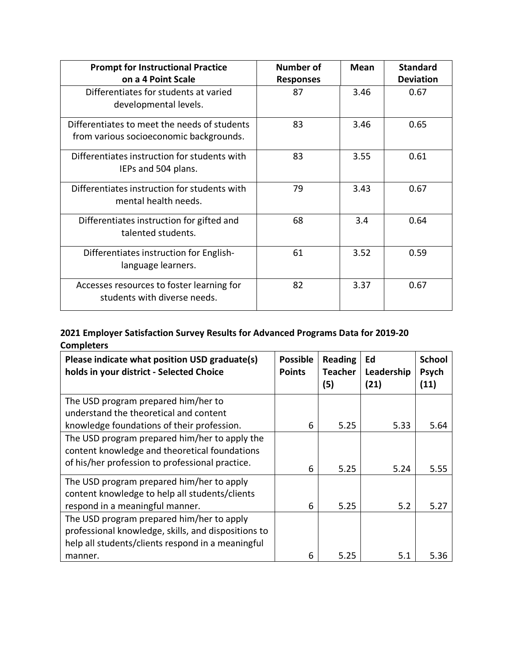| <b>Prompt for Instructional Practice</b><br>on a 4 Point Scale                          | Number of<br><b>Responses</b> | Mean | <b>Standard</b><br><b>Deviation</b> |
|-----------------------------------------------------------------------------------------|-------------------------------|------|-------------------------------------|
| Differentiates for students at varied<br>developmental levels.                          | 87                            | 3.46 | 0.67                                |
| Differentiates to meet the needs of students<br>from various socioeconomic backgrounds. | 83                            | 3.46 | 0.65                                |
| Differentiates instruction for students with<br>IEPs and 504 plans.                     | 83                            | 3.55 | 0.61                                |
| Differentiates instruction for students with<br>mental health needs.                    | 79                            | 3.43 | 0.67                                |
| Differentiates instruction for gifted and<br>talented students.                         | 68                            | 3.4  | 0.64                                |
| Differentiates instruction for English-<br>language learners.                           | 61                            | 3.52 | 0.59                                |
| Accesses resources to foster learning for<br>students with diverse needs.               | 82                            | 3.37 | 0.67                                |

## **2021 Employer Satisfaction Survey Results for Advanced Programs Data for 2019-20 Completers**

| Please indicate what position USD graduate(s)<br>holds in your district - Selected Choice | <b>Possible</b><br><b>Points</b> | <b>Reading</b><br><b>Teacher</b><br>(5) | Ed<br>Leadership<br>(21) | <b>School</b><br>Psych<br>(11) |
|-------------------------------------------------------------------------------------------|----------------------------------|-----------------------------------------|--------------------------|--------------------------------|
| The USD program prepared him/her to                                                       |                                  |                                         |                          |                                |
| understand the theoretical and content                                                    |                                  |                                         |                          |                                |
| knowledge foundations of their profession.                                                | 6                                | 5.25                                    | 5.33                     | 5.64                           |
| The USD program prepared him/her to apply the                                             |                                  |                                         |                          |                                |
| content knowledge and theoretical foundations                                             |                                  |                                         |                          |                                |
| of his/her profession to professional practice.                                           | 6                                | 5.25                                    | 5.24                     | 5.55                           |
| The USD program prepared him/her to apply                                                 |                                  |                                         |                          |                                |
| content knowledge to help all students/clients                                            |                                  |                                         |                          |                                |
| respond in a meaningful manner.                                                           | 6                                | 5.25                                    | 5.2                      | 5.27                           |
| The USD program prepared him/her to apply                                                 |                                  |                                         |                          |                                |
| professional knowledge, skills, and dispositions to                                       |                                  |                                         |                          |                                |
| help all students/clients respond in a meaningful                                         |                                  |                                         |                          |                                |
| manner.                                                                                   | 6                                | 5.25                                    | 5.1                      | 5.36                           |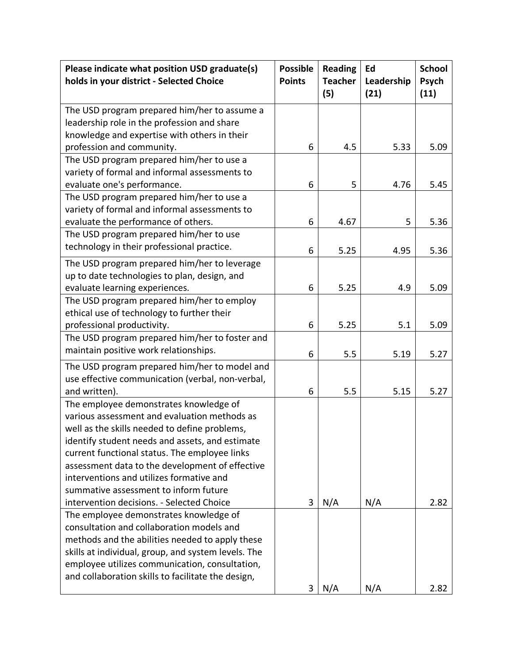| Please indicate what position USD graduate(s)<br>holds in your district - Selected Choice | <b>Possible</b><br><b>Points</b> | <b>Reading</b><br><b>Teacher</b><br>(5) | Ed<br>Leadership<br>(21) | <b>School</b><br>Psych<br>(11) |
|-------------------------------------------------------------------------------------------|----------------------------------|-----------------------------------------|--------------------------|--------------------------------|
| The USD program prepared him/her to assume a                                              |                                  |                                         |                          |                                |
| leadership role in the profession and share                                               |                                  |                                         |                          |                                |
| knowledge and expertise with others in their                                              |                                  |                                         |                          |                                |
| profession and community.                                                                 | 6                                | 4.5                                     | 5.33                     | 5.09                           |
| The USD program prepared him/her to use a                                                 |                                  |                                         |                          |                                |
| variety of formal and informal assessments to                                             |                                  |                                         |                          |                                |
| evaluate one's performance.                                                               | 6                                | 5                                       | 4.76                     | 5.45                           |
| The USD program prepared him/her to use a                                                 |                                  |                                         |                          |                                |
| variety of formal and informal assessments to                                             |                                  |                                         |                          |                                |
| evaluate the performance of others.                                                       | 6                                | 4.67                                    | 5                        | 5.36                           |
| The USD program prepared him/her to use                                                   |                                  |                                         |                          |                                |
| technology in their professional practice.                                                | 6                                | 5.25                                    | 4.95                     | 5.36                           |
| The USD program prepared him/her to leverage                                              |                                  |                                         |                          |                                |
| up to date technologies to plan, design, and                                              |                                  |                                         |                          |                                |
| evaluate learning experiences.                                                            | 6                                | 5.25                                    | 4.9                      | 5.09                           |
| The USD program prepared him/her to employ                                                |                                  |                                         |                          |                                |
| ethical use of technology to further their                                                |                                  |                                         |                          |                                |
| professional productivity.                                                                | 6                                | 5.25                                    | 5.1                      | 5.09                           |
| The USD program prepared him/her to foster and                                            |                                  |                                         |                          |                                |
| maintain positive work relationships.                                                     | 6                                | 5.5                                     | 5.19                     | 5.27                           |
| The USD program prepared him/her to model and                                             |                                  |                                         |                          |                                |
| use effective communication (verbal, non-verbal,                                          |                                  |                                         |                          |                                |
| and written).                                                                             | 6                                | 5.5                                     | 5.15                     | 5.27                           |
| The employee demonstrates knowledge of                                                    |                                  |                                         |                          |                                |
| various assessment and evaluation methods as                                              |                                  |                                         |                          |                                |
| well as the skills needed to define problems,                                             |                                  |                                         |                          |                                |
| identify student needs and assets, and estimate                                           |                                  |                                         |                          |                                |
| current functional status. The employee links                                             |                                  |                                         |                          |                                |
| assessment data to the development of effective                                           |                                  |                                         |                          |                                |
| interventions and utilizes formative and                                                  |                                  |                                         |                          |                                |
| summative assessment to inform future                                                     |                                  |                                         |                          |                                |
| intervention decisions. - Selected Choice                                                 | 3                                | N/A                                     | N/A                      | 2.82                           |
| The employee demonstrates knowledge of                                                    |                                  |                                         |                          |                                |
| consultation and collaboration models and                                                 |                                  |                                         |                          |                                |
| methods and the abilities needed to apply these                                           |                                  |                                         |                          |                                |
| skills at individual, group, and system levels. The                                       |                                  |                                         |                          |                                |
| employee utilizes communication, consultation,                                            |                                  |                                         |                          |                                |
| and collaboration skills to facilitate the design,                                        |                                  |                                         |                          |                                |
|                                                                                           | 3                                | N/A                                     | N/A                      | 2.82                           |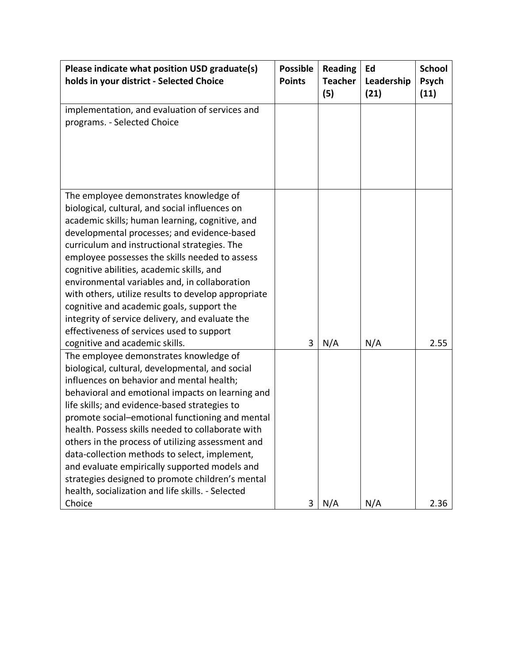| Please indicate what position USD graduate(s)<br>holds in your district - Selected Choice                                                                                                                                                                                                                                                                                                                                                                                                                                                                                                                                                             | <b>Possible</b><br><b>Points</b> | <b>Reading</b><br><b>Teacher</b><br>(5) | Ed<br>Leadership<br>(21) | <b>School</b><br>Psych<br>(11) |
|-------------------------------------------------------------------------------------------------------------------------------------------------------------------------------------------------------------------------------------------------------------------------------------------------------------------------------------------------------------------------------------------------------------------------------------------------------------------------------------------------------------------------------------------------------------------------------------------------------------------------------------------------------|----------------------------------|-----------------------------------------|--------------------------|--------------------------------|
| implementation, and evaluation of services and<br>programs. - Selected Choice                                                                                                                                                                                                                                                                                                                                                                                                                                                                                                                                                                         |                                  |                                         |                          |                                |
| The employee demonstrates knowledge of<br>biological, cultural, and social influences on<br>academic skills; human learning, cognitive, and<br>developmental processes; and evidence-based<br>curriculum and instructional strategies. The<br>employee possesses the skills needed to assess<br>cognitive abilities, academic skills, and<br>environmental variables and, in collaboration<br>with others, utilize results to develop appropriate<br>cognitive and academic goals, support the<br>integrity of service delivery, and evaluate the<br>effectiveness of services used to support                                                        |                                  |                                         |                          |                                |
| cognitive and academic skills.<br>The employee demonstrates knowledge of<br>biological, cultural, developmental, and social<br>influences on behavior and mental health;<br>behavioral and emotional impacts on learning and<br>life skills; and evidence-based strategies to<br>promote social-emotional functioning and mental<br>health. Possess skills needed to collaborate with<br>others in the process of utilizing assessment and<br>data-collection methods to select, implement,<br>and evaluate empirically supported models and<br>strategies designed to promote children's mental<br>health, socialization and life skills. - Selected | 3                                | N/A                                     | N/A                      | 2.55                           |
| Choice                                                                                                                                                                                                                                                                                                                                                                                                                                                                                                                                                                                                                                                | 3                                | N/A                                     | N/A                      | 2.36                           |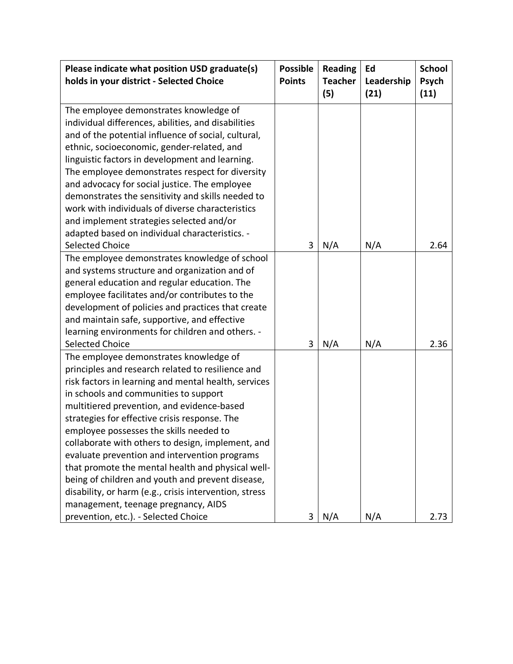| Please indicate what position USD graduate(s)<br>holds in your district - Selected Choice | <b>Possible</b><br><b>Points</b> | <b>Reading</b><br><b>Teacher</b><br>(5) | Ed<br>Leadership<br>(21) | <b>School</b><br>Psych<br>(11) |
|-------------------------------------------------------------------------------------------|----------------------------------|-----------------------------------------|--------------------------|--------------------------------|
| The employee demonstrates knowledge of                                                    |                                  |                                         |                          |                                |
| individual differences, abilities, and disabilities                                       |                                  |                                         |                          |                                |
| and of the potential influence of social, cultural,                                       |                                  |                                         |                          |                                |
| ethnic, socioeconomic, gender-related, and                                                |                                  |                                         |                          |                                |
| linguistic factors in development and learning.                                           |                                  |                                         |                          |                                |
| The employee demonstrates respect for diversity                                           |                                  |                                         |                          |                                |
| and advocacy for social justice. The employee                                             |                                  |                                         |                          |                                |
| demonstrates the sensitivity and skills needed to                                         |                                  |                                         |                          |                                |
| work with individuals of diverse characteristics                                          |                                  |                                         |                          |                                |
| and implement strategies selected and/or                                                  |                                  |                                         |                          |                                |
| adapted based on individual characteristics. -                                            |                                  |                                         |                          |                                |
| <b>Selected Choice</b>                                                                    | 3                                | N/A                                     | N/A                      | 2.64                           |
| The employee demonstrates knowledge of school                                             |                                  |                                         |                          |                                |
| and systems structure and organization and of                                             |                                  |                                         |                          |                                |
| general education and regular education. The                                              |                                  |                                         |                          |                                |
| employee facilitates and/or contributes to the                                            |                                  |                                         |                          |                                |
| development of policies and practices that create                                         |                                  |                                         |                          |                                |
| and maintain safe, supportive, and effective                                              |                                  |                                         |                          |                                |
| learning environments for children and others. -<br><b>Selected Choice</b>                | 3                                | N/A                                     | N/A                      | 2.36                           |
| The employee demonstrates knowledge of                                                    |                                  |                                         |                          |                                |
| principles and research related to resilience and                                         |                                  |                                         |                          |                                |
| risk factors in learning and mental health, services                                      |                                  |                                         |                          |                                |
| in schools and communities to support                                                     |                                  |                                         |                          |                                |
| multitiered prevention, and evidence-based                                                |                                  |                                         |                          |                                |
| strategies for effective crisis response. The                                             |                                  |                                         |                          |                                |
| employee possesses the skills needed to                                                   |                                  |                                         |                          |                                |
| collaborate with others to design, implement, and                                         |                                  |                                         |                          |                                |
| evaluate prevention and intervention programs                                             |                                  |                                         |                          |                                |
| that promote the mental health and physical well-                                         |                                  |                                         |                          |                                |
| being of children and youth and prevent disease,                                          |                                  |                                         |                          |                                |
| disability, or harm (e.g., crisis intervention, stress                                    |                                  |                                         |                          |                                |
| management, teenage pregnancy, AIDS                                                       |                                  |                                         |                          |                                |
| prevention, etc.). - Selected Choice                                                      | 3                                | N/A                                     | N/A                      | 2.73                           |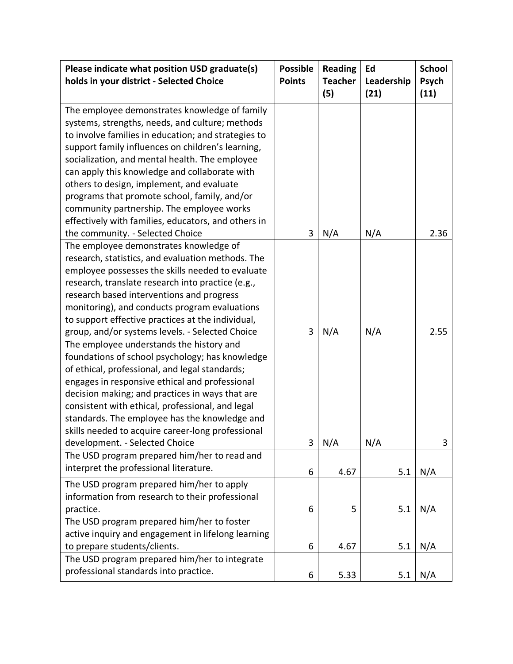| Please indicate what position USD graduate(s)<br>holds in your district - Selected Choice                                                                                                                                                                                                                                                                                                                                                                                                                                                                                                                                                                                                                                                                                                                                                                    | <b>Possible</b><br><b>Points</b> | <b>Reading</b><br><b>Teacher</b><br>(5) | Ed<br>Leadership<br>(21) | <b>School</b><br>Psych<br>(11) |
|--------------------------------------------------------------------------------------------------------------------------------------------------------------------------------------------------------------------------------------------------------------------------------------------------------------------------------------------------------------------------------------------------------------------------------------------------------------------------------------------------------------------------------------------------------------------------------------------------------------------------------------------------------------------------------------------------------------------------------------------------------------------------------------------------------------------------------------------------------------|----------------------------------|-----------------------------------------|--------------------------|--------------------------------|
| The employee demonstrates knowledge of family<br>systems, strengths, needs, and culture; methods<br>to involve families in education; and strategies to<br>support family influences on children's learning,<br>socialization, and mental health. The employee<br>can apply this knowledge and collaborate with<br>others to design, implement, and evaluate<br>programs that promote school, family, and/or<br>community partnership. The employee works<br>effectively with families, educators, and others in                                                                                                                                                                                                                                                                                                                                             |                                  |                                         |                          |                                |
| the community. - Selected Choice                                                                                                                                                                                                                                                                                                                                                                                                                                                                                                                                                                                                                                                                                                                                                                                                                             | 3                                | N/A                                     | N/A                      | 2.36                           |
| The employee demonstrates knowledge of<br>research, statistics, and evaluation methods. The<br>employee possesses the skills needed to evaluate<br>research, translate research into practice (e.g.,<br>research based interventions and progress<br>monitoring), and conducts program evaluations<br>to support effective practices at the individual,<br>group, and/or systems levels. - Selected Choice<br>The employee understands the history and<br>foundations of school psychology; has knowledge<br>of ethical, professional, and legal standards;<br>engages in responsive ethical and professional<br>decision making; and practices in ways that are<br>consistent with ethical, professional, and legal<br>standards. The employee has the knowledge and<br>skills needed to acquire career-long professional<br>development. - Selected Choice | 3<br>3                           | N/A<br>N/A                              | N/A<br>N/A               | 2.55<br>3                      |
| The USD program prepared him/her to read and                                                                                                                                                                                                                                                                                                                                                                                                                                                                                                                                                                                                                                                                                                                                                                                                                 |                                  |                                         |                          |                                |
| interpret the professional literature.                                                                                                                                                                                                                                                                                                                                                                                                                                                                                                                                                                                                                                                                                                                                                                                                                       | 6                                | 4.67                                    | 5.1                      | N/A                            |
| The USD program prepared him/her to apply<br>information from research to their professional<br>practice.                                                                                                                                                                                                                                                                                                                                                                                                                                                                                                                                                                                                                                                                                                                                                    | 6                                | 5                                       | 5.1                      | N/A                            |
| The USD program prepared him/her to foster<br>active inquiry and engagement in lifelong learning<br>to prepare students/clients.                                                                                                                                                                                                                                                                                                                                                                                                                                                                                                                                                                                                                                                                                                                             | 6                                | 4.67                                    | 5.1                      | N/A                            |
| The USD program prepared him/her to integrate<br>professional standards into practice.                                                                                                                                                                                                                                                                                                                                                                                                                                                                                                                                                                                                                                                                                                                                                                       | 6                                | 5.33                                    | 5.1                      | N/A                            |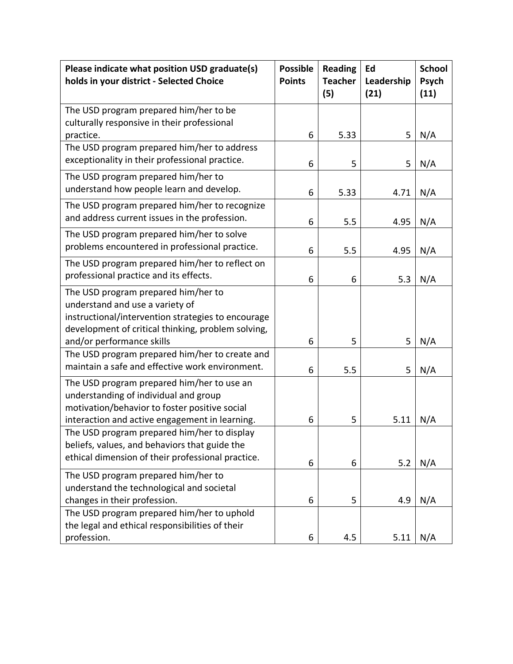| Please indicate what position USD graduate(s)<br>holds in your district - Selected Choice                                                                                                                       | <b>Possible</b><br><b>Points</b> | <b>Reading</b><br><b>Teacher</b><br>(5) | Ed<br>Leadership<br>(21) | <b>School</b><br>Psych<br>(11) |
|-----------------------------------------------------------------------------------------------------------------------------------------------------------------------------------------------------------------|----------------------------------|-----------------------------------------|--------------------------|--------------------------------|
| The USD program prepared him/her to be<br>culturally responsive in their professional                                                                                                                           |                                  |                                         |                          |                                |
| practice.                                                                                                                                                                                                       | 6                                | 5.33                                    | 5                        | N/A                            |
| The USD program prepared him/her to address<br>exceptionality in their professional practice.                                                                                                                   | 6                                | 5                                       | 5                        | N/A                            |
| The USD program prepared him/her to<br>understand how people learn and develop.                                                                                                                                 | 6                                | 5.33                                    | 4.71                     | N/A                            |
| The USD program prepared him/her to recognize<br>and address current issues in the profession.                                                                                                                  | 6                                | 5.5                                     | 4.95                     | N/A                            |
| The USD program prepared him/her to solve<br>problems encountered in professional practice.                                                                                                                     | 6                                | 5.5                                     | 4.95                     | N/A                            |
| The USD program prepared him/her to reflect on<br>professional practice and its effects.                                                                                                                        | 6                                | 6                                       | 5.3                      | N/A                            |
| The USD program prepared him/her to<br>understand and use a variety of<br>instructional/intervention strategies to encourage<br>development of critical thinking, problem solving,<br>and/or performance skills | 6                                | 5                                       | 5                        | N/A                            |
| The USD program prepared him/her to create and<br>maintain a safe and effective work environment.                                                                                                               | 6                                | 5.5                                     | 5                        | N/A                            |
| The USD program prepared him/her to use an<br>understanding of individual and group<br>motivation/behavior to foster positive social<br>interaction and active engagement in learning.                          | 6                                | 5                                       | 5.11                     | N/A                            |
| The USD program prepared him/her to display<br>beliefs, values, and behaviors that guide the<br>ethical dimension of their professional practice.                                                               | 6                                | 6                                       | 5.2                      | N/A                            |
| The USD program prepared him/her to<br>understand the technological and societal<br>changes in their profession.                                                                                                | 6                                | 5                                       | 4.9                      | N/A                            |
| The USD program prepared him/her to uphold<br>the legal and ethical responsibilities of their<br>profession.                                                                                                    | 6                                | 4.5                                     | 5.11                     | N/A                            |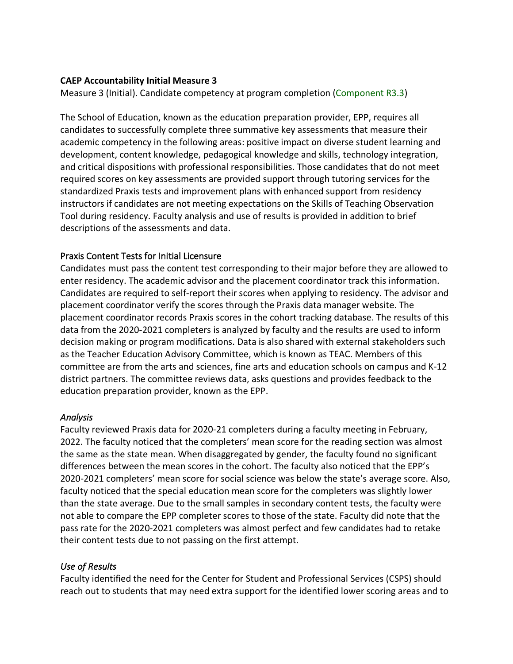### **CAEP Accountability Initial Measure 3**

Measure 3 (Initial). Candidate competency at program completion (Component R3.3)

The School of Education, known as the education preparation provider, EPP, requires all candidates to successfully complete three summative key assessments that measure their academic competency in the following areas: positive impact on diverse student learning and development, content knowledge, pedagogical knowledge and skills, technology integration, and critical dispositions with professional responsibilities. Those candidates that do not meet required scores on key assessments are provided support through tutoring services for the standardized Praxis tests and improvement plans with enhanced support from residency instructors if candidates are not meeting expectations on the Skills of Teaching Observation Tool during residency. Faculty analysis and use of results is provided in addition to brief descriptions of the assessments and data.

### Praxis Content Tests for Initial Licensure

Candidates must pass the content test corresponding to their major before they are allowed to enter residency. The academic advisor and the placement coordinator track this information. Candidates are required to self-report their scores when applying to residency. The advisor and placement coordinator verify the scores through the Praxis data manager website. The placement coordinator records Praxis scores in the cohort tracking database. The results of this data from the 2020-2021 completers is analyzed by faculty and the results are used to inform decision making or program modifications. Data is also shared with external stakeholders such as the Teacher Education Advisory Committee, which is known as TEAC. Members of this committee are from the arts and sciences, fine arts and education schools on campus and K-12 district partners. The committee reviews data, asks questions and provides feedback to the education preparation provider, known as the EPP.

#### *Analysis*

Faculty reviewed Praxis data for 2020-21 completers during a faculty meeting in February, 2022. The faculty noticed that the completers' mean score for the reading section was almost the same as the state mean. When disaggregated by gender, the faculty found no significant differences between the mean scores in the cohort. The faculty also noticed that the EPP's 2020-2021 completers' mean score for social science was below the state's average score. Also, faculty noticed that the special education mean score for the completers was slightly lower than the state average. Due to the small samples in secondary content tests, the faculty were not able to compare the EPP completer scores to those of the state. Faculty did note that the pass rate for the 2020-2021 completers was almost perfect and few candidates had to retake their content tests due to not passing on the first attempt.

### *Use of Results*

Faculty identified the need for the Center for Student and Professional Services (CSPS) should reach out to students that may need extra support for the identified lower scoring areas and to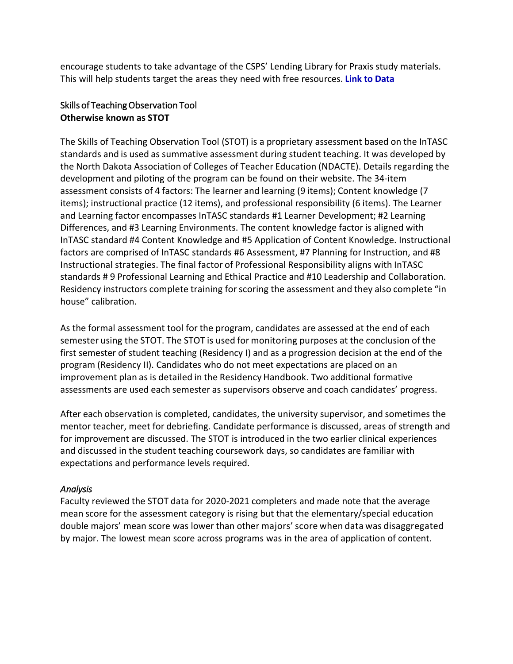encourage students to take advantage of the CSPS' Lending Library for Praxis study materials. This will help students target the areas they need with free resources. **[Link to Data](#page-17-0)**

### Skills of Teaching Observation Tool **Otherwise known as STOT**

The Skills of Teaching Observation Tool (STOT) is a proprietary assessment based on the InTASC standards and is used as summative assessment during student teaching. It was developed by the North Dakota Association of Colleges of Teacher Education (NDACTE). Details regarding the development and piloting of the program can be found on their website. The 34-item assessment consists of 4 factors: The learner and learning (9 items); Content knowledge (7 items); instructional practice (12 items), and professional responsibility (6 items). The Learner and Learning factor encompasses InTASC standards #1 Learner Development; #2 Learning Differences, and #3 Learning Environments. The content knowledge factor is aligned with InTASC standard #4 Content Knowledge and #5 Application of Content Knowledge. Instructional factors are comprised of InTASC standards #6 Assessment, #7 Planning for Instruction, and #8 Instructional strategies. The final factor of Professional Responsibility aligns with InTASC standards # 9 Professional Learning and Ethical Practice and #10 Leadership and Collaboration. Residency instructors complete training for scoring the assessment and they also complete "in house" calibration.

As the formal assessment tool for the program, candidates are assessed at the end of each semester using the STOT. The STOT is used for monitoring purposes at the conclusion of the first semester of student teaching (Residency I) and as a progression decision at the end of the program (Residency II). Candidates who do not meet expectations are placed on an improvement plan as is detailed in the Residency Handbook. Two additional formative assessments are used each semester as supervisors observe and coach candidates' progress.

After each observation is completed, candidates, the university supervisor, and sometimes the mentor teacher, meet for debriefing. Candidate performance is discussed, areas of strength and for improvement are discussed. The STOT is introduced in the two earlier clinical experiences and discussed in the student teaching coursework days, so candidates are familiar with expectations and performance levels required.

### *Analysis*

Faculty reviewed the STOT data for 2020-2021 completers and made note that the average mean score for the assessment category is rising but that the elementary/special education double majors' mean score was lower than other majors'score when data was disaggregated by major. The lowest mean score across programs was in the area of application of content.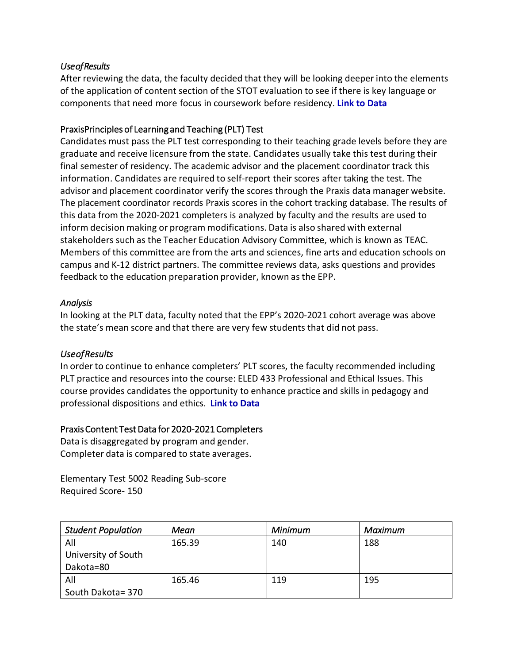### <span id="page-17-0"></span>*Use of Results*

After reviewing the data, the faculty decided that they will be looking deeper into the elements of the application of content section of the STOT evaluation to see if there is key language or components that need more focus in coursework before residency. **[Link to Data](#page-22-0)**

### PraxisP rinciples of Learning and Teaching (PLT)Test

Candidates must pass the PLT test corresponding to their teaching grade levels before they are graduate and receive licensure from the state. Candidates usually take this test during their final semester of residency. The academic advisor and the placement coordinator track this information. Candidates are required to self-report their scores after taking the test. The advisor and placement coordinator verify the scores through the Praxis data manager website. The placement coordinator records Praxis scores in the cohort tracking database. The results of this data from the 2020-2021 completers is analyzed by faculty and the results are used to inform decision making or program modifications. Data is also shared with external stakeholders such as the Teacher Education Advisory Committee, which is known as TEAC. Members of this committee are from the arts and sciences, fine arts and education schools on campus and K-12 district partners. The committee reviews data, asks questions and provides feedback to the education preparation provider, known as the EPP.

### *Analysis*

In looking at the PLT data, faculty noted that the EPP's 2020-2021 cohort average was above the state's mean score and that there are very few students that did not pass.

### *Use of Results*

In order to continue to enhance completers' PLT scores, the faculty recommended including PLT practice and resources into the course: ELED 433 Professional and Ethical Issues. This course provides candidates the opportunity to enhance practice and skills in pedagogy and professional dispositions and ethics. **[Link to Data](#page-23-0)**

### Praxis Content Test Data for 2020-2021 Completers

Data is disaggregated by program and gender. Completer data is compared to state averages.

Elementary Test 5002 Reading Sub-score Required Score- 150

| <b>Student Population</b> | Mean   | Minimum | Maximum |
|---------------------------|--------|---------|---------|
| All                       | 165.39 | 140     | 188     |
| University of South       |        |         |         |
| Dakota=80                 |        |         |         |
| All                       | 165.46 | 119     | 195     |
| South Dakota= 370         |        |         |         |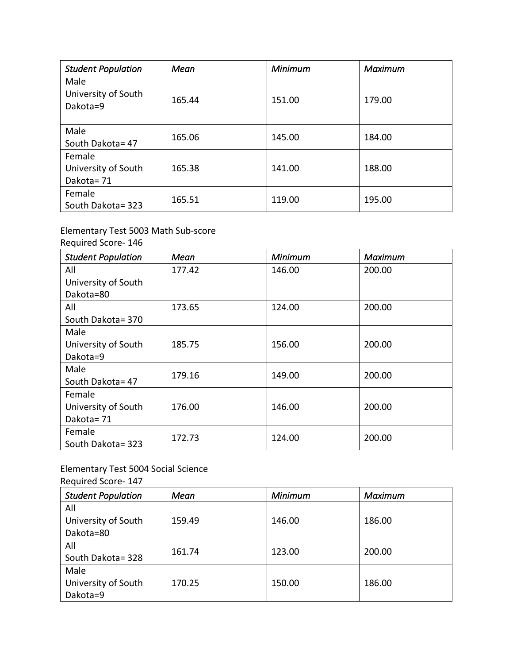| <b>Student Population</b>                  | Mean   | Minimum | <b>Maximum</b> |
|--------------------------------------------|--------|---------|----------------|
| Male<br>University of South<br>Dakota=9    | 165.44 | 151.00  | 179.00         |
| Male<br>South Dakota= 47                   | 165.06 | 145.00  | 184.00         |
| Female<br>University of South<br>Dakota=71 | 165.38 | 141.00  | 188.00         |
| Female<br>South Dakota= 323                | 165.51 | 119.00  | 195.00         |

## Elementary Test 5003 Math Sub-score

Required Score- 146

| <b>Student Population</b> | Mean   | <b>Minimum</b> | <b>Maximum</b> |
|---------------------------|--------|----------------|----------------|
| All                       | 177.42 | 146.00         | 200.00         |
| University of South       |        |                |                |
| Dakota=80                 |        |                |                |
| All                       | 173.65 | 124.00         | 200.00         |
| South Dakota= 370         |        |                |                |
| Male                      |        |                |                |
| University of South       | 185.75 | 156.00         | 200.00         |
| Dakota=9                  |        |                |                |
| Male                      | 179.16 | 149.00         | 200.00         |
| South Dakota= 47          |        |                |                |
| Female                    |        |                |                |
| University of South       | 176.00 | 146.00         | 200.00         |
| Dakota=71                 |        |                |                |
| Female                    | 172.73 | 124.00         | 200.00         |
| South Dakota= 323         |        |                |                |

## Elementary Test 5004 Social Science

Required Score- 147

| <b>Student Population</b> | Mean   | Minimum | Maximum |
|---------------------------|--------|---------|---------|
| All                       |        |         |         |
| University of South       | 159.49 | 146.00  | 186.00  |
| Dakota=80                 |        |         |         |
| All                       | 161.74 | 123.00  | 200.00  |
| South Dakota= 328         |        |         |         |
| Male                      |        |         |         |
| University of South       | 170.25 | 150.00  | 186.00  |
| Dakota=9                  |        |         |         |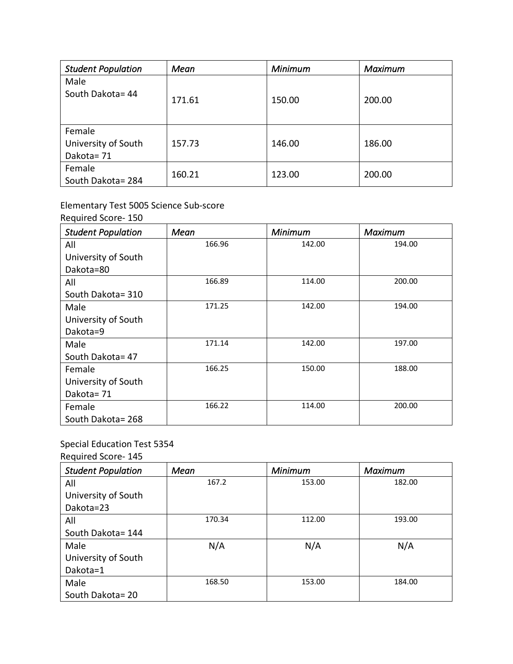| <b>Student Population</b>                  | Mean   | Minimum | <b>Maximum</b> |
|--------------------------------------------|--------|---------|----------------|
| Male<br>South Dakota= 44                   | 171.61 | 150.00  | 200.00         |
| Female<br>University of South<br>Dakota=71 | 157.73 | 146.00  | 186.00         |
| Female<br>South Dakota=284                 | 160.21 | 123.00  | 200.00         |

## Elementary Test 5005 Science Sub-score

Required Score- 150

| <b>Student Population</b> | Mean   | Minimum | Maximum |
|---------------------------|--------|---------|---------|
| All                       | 166.96 | 142.00  | 194.00  |
| University of South       |        |         |         |
| Dakota=80                 |        |         |         |
| All                       | 166.89 | 114.00  | 200.00  |
| South Dakota= 310         |        |         |         |
| Male                      | 171.25 | 142.00  | 194.00  |
| University of South       |        |         |         |
| Dakota=9                  |        |         |         |
| Male                      | 171.14 | 142.00  | 197.00  |
| South Dakota= 47          |        |         |         |
| Female                    | 166.25 | 150.00  | 188.00  |
| University of South       |        |         |         |
| Dakota=71                 |        |         |         |
| Female                    | 166.22 | 114.00  | 200.00  |
| South Dakota=268          |        |         |         |

## Special Education Test 5354

Required Score- 145

| <b>Student Population</b> | Mean   | Minimum | <b>Maximum</b> |
|---------------------------|--------|---------|----------------|
| All                       | 167.2  | 153.00  | 182.00         |
| University of South       |        |         |                |
| Dakota=23                 |        |         |                |
| All                       | 170.34 | 112.00  | 193.00         |
| South Dakota= 144         |        |         |                |
| Male                      | N/A    | N/A     | N/A            |
| University of South       |        |         |                |
| Dakota=1                  |        |         |                |
| Male                      | 168.50 | 153.00  | 184.00         |
| South Dakota=20           |        |         |                |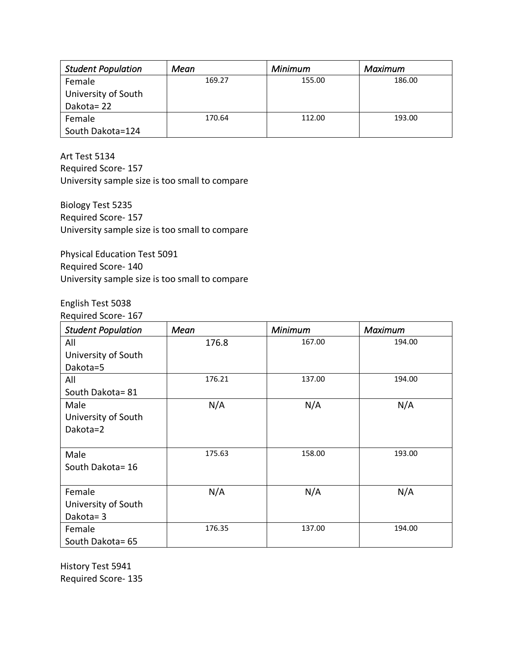| <b>Student Population</b> | Mean   | <b>Minimum</b> | Maximum |
|---------------------------|--------|----------------|---------|
| Female                    | 169.27 | 155.00         | 186.00  |
| University of South       |        |                |         |
| Dakota=22                 |        |                |         |
| Female                    | 170.64 | 112.00         | 193.00  |
| South Dakota=124          |        |                |         |

Art Test 5134 Required Score- 157 University sample size is too small to compare

Biology Test 5235 Required Score- 157 University sample size is too small to compare

Physical Education Test 5091 Required Score- 140 University sample size is too small to compare

#### English Test 5038 Required Score- 167

| <b>Student Population</b> | Mean   | Minimum | Maximum |
|---------------------------|--------|---------|---------|
| All                       | 176.8  | 167.00  | 194.00  |
| University of South       |        |         |         |
| Dakota=5                  |        |         |         |
| All                       | 176.21 | 137.00  | 194.00  |
| South Dakota= 81          |        |         |         |
| Male                      | N/A    | N/A     | N/A     |
| University of South       |        |         |         |
| Dakota=2                  |        |         |         |
|                           |        |         |         |
| Male                      | 175.63 | 158.00  | 193.00  |
| South Dakota= 16          |        |         |         |
|                           |        |         |         |
| Female                    | N/A    | N/A     | N/A     |
| University of South       |        |         |         |
| Dakota=3                  |        |         |         |
| Female                    | 176.35 | 137.00  | 194.00  |
| South Dakota= 65          |        |         |         |

History Test 5941 Required Score- 135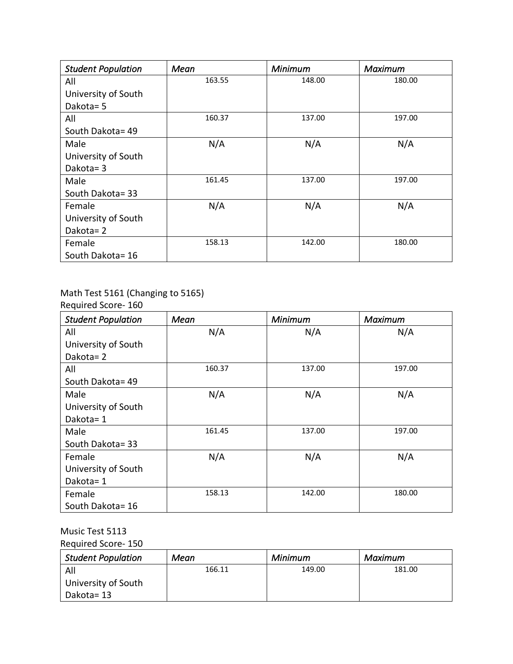| <b>Student Population</b> | Mean   | Minimum | Maximum |
|---------------------------|--------|---------|---------|
| All                       | 163.55 | 148.00  | 180.00  |
| University of South       |        |         |         |
| Dakota= 5                 |        |         |         |
| All                       | 160.37 | 137.00  | 197.00  |
| South Dakota= 49          |        |         |         |
| Male                      | N/A    | N/A     | N/A     |
| University of South       |        |         |         |
| Dakota=3                  |        |         |         |
| Male                      | 161.45 | 137.00  | 197.00  |
| South Dakota= 33          |        |         |         |
| Female                    | N/A    | N/A     | N/A     |
| University of South       |        |         |         |
| Dakota=2                  |        |         |         |
| Female                    | 158.13 | 142.00  | 180.00  |
| South Dakota= 16          |        |         |         |

# Math Test 5161 (Changing to 5165)

Required Score- 160

| <b>Student Population</b> | Mean   | Minimum | <b>Maximum</b> |
|---------------------------|--------|---------|----------------|
| All                       | N/A    | N/A     | N/A            |
| University of South       |        |         |                |
| Dakota=2                  |        |         |                |
| All                       | 160.37 | 137.00  | 197.00         |
| South Dakota= 49          |        |         |                |
| Male                      | N/A    | N/A     | N/A            |
| University of South       |        |         |                |
| Dakota=1                  |        |         |                |
| Male                      | 161.45 | 137.00  | 197.00         |
| South Dakota= 33          |        |         |                |
| Female                    | N/A    | N/A     | N/A            |
| University of South       |        |         |                |
| Dakota=1                  |        |         |                |
| Female                    | 158.13 | 142.00  | 180.00         |
| South Dakota= 16          |        |         |                |

## Music Test 5113

Required Score- 150

| <b>Student Population</b> | Mean   | Minimum | Maximum |
|---------------------------|--------|---------|---------|
| All                       | 166.11 | 149.00  | 181.00  |
| University of South       |        |         |         |
| Dakota= 13                |        |         |         |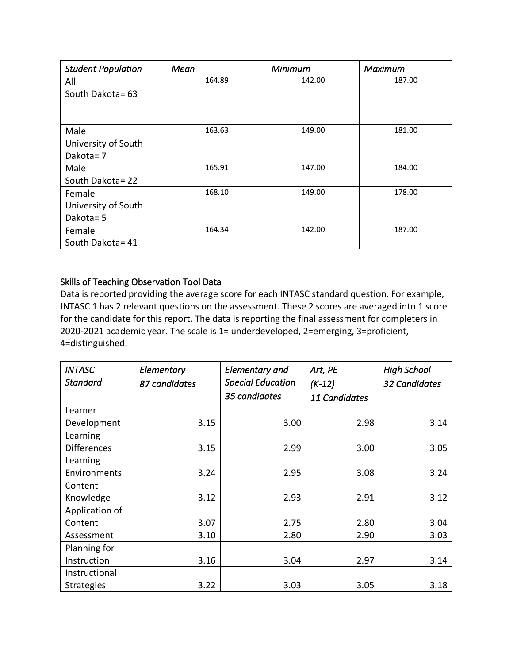<span id="page-22-0"></span>

| <b>Student Population</b> | Mean   | Minimum | <b>Maximum</b> |
|---------------------------|--------|---------|----------------|
| All                       | 164.89 | 142.00  | 187.00         |
| South Dakota= 63          |        |         |                |
|                           |        |         |                |
|                           |        |         |                |
| Male                      | 163.63 | 149.00  | 181.00         |
| University of South       |        |         |                |
| Dakota=7                  |        |         |                |
| Male                      | 165.91 | 147.00  | 184.00         |
| South Dakota= 22          |        |         |                |
| Female                    | 168.10 | 149.00  | 178.00         |
| University of South       |        |         |                |
| Dakota= 5                 |        |         |                |
| Female                    | 164.34 | 142.00  | 187.00         |
| South Dakota= 41          |        |         |                |

### Skills of Teaching Observation Tool Data

Data is reported providing the average score for each INTASC standard question. For example, INTASC 1 has 2 relevant questions on the assessment. These 2 scores are averaged into 1 score for the candidate for this report. The data is reporting the final assessment for completers in 2020-2021 academic year. The scale is 1= underdeveloped, 2=emerging, 3=proficient, 4=distinguished.

| <b>INTASC</b>      | Elementary    | Elementary and           | Art, PE       | <b>High School</b>   |
|--------------------|---------------|--------------------------|---------------|----------------------|
| <b>Standard</b>    | 87 candidates | <b>Special Education</b> | $(K-12)$      | <b>32 Candidates</b> |
|                    |               | 35 candidates            | 11 Candidates |                      |
| Learner            |               |                          |               |                      |
| Development        | 3.15          | 3.00                     | 2.98          | 3.14                 |
| Learning           |               |                          |               |                      |
| <b>Differences</b> | 3.15          | 2.99                     | 3.00          | 3.05                 |
| Learning           |               |                          |               |                      |
| Environments       | 3.24          | 2.95                     | 3.08          | 3.24                 |
| Content            |               |                          |               |                      |
| Knowledge          | 3.12          | 2.93                     | 2.91          | 3.12                 |
| Application of     |               |                          |               |                      |
| Content            | 3.07          | 2.75                     | 2.80          | 3.04                 |
| Assessment         | 3.10          | 2.80                     | 2.90          | 3.03                 |
| Planning for       |               |                          |               |                      |
| Instruction        | 3.16          | 3.04                     | 2.97          | 3.14                 |
| Instructional      |               |                          |               |                      |
| <b>Strategies</b>  | 3.22          | 3.03                     | 3.05          | 3.18                 |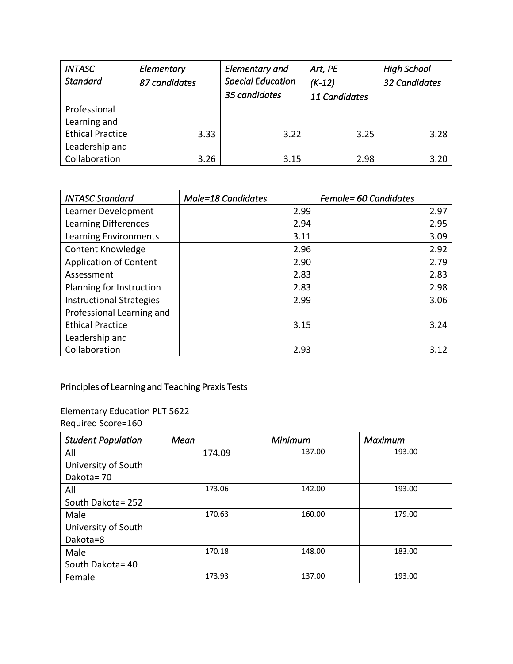<span id="page-23-0"></span>

| <b>INTASC</b><br><b>Standard</b>        | Elementary<br>87 candidates | <b>Elementary and</b><br><b>Special Education</b><br>35 candidates | Art, PE<br>$(K-12)$<br>11 Candidates | <b>High School</b><br>32 Candidates |
|-----------------------------------------|-----------------------------|--------------------------------------------------------------------|--------------------------------------|-------------------------------------|
| Professional                            |                             |                                                                    |                                      |                                     |
| Learning and<br><b>Ethical Practice</b> | 3.33                        | 3.22                                                               | 3.25                                 | 3.28                                |
| Leadership and                          |                             |                                                                    |                                      |                                     |
| Collaboration                           | 3.26                        | 3.15                                                               | 2.98                                 | 3.20                                |

| <b>INTASC Standard</b>          | <b>Male=18 Candidates</b> | Female= 60 Candidates |
|---------------------------------|---------------------------|-----------------------|
| Learner Development             | 2.99                      | 2.97                  |
| Learning Differences            | 2.94                      | 2.95                  |
| Learning Environments           | 3.11                      | 3.09                  |
| Content Knowledge               | 2.96                      | 2.92                  |
| <b>Application of Content</b>   | 2.90                      | 2.79                  |
| Assessment                      | 2.83                      | 2.83                  |
| Planning for Instruction        | 2.83                      | 2.98                  |
| <b>Instructional Strategies</b> | 2.99                      | 3.06                  |
| Professional Learning and       |                           |                       |
| <b>Ethical Practice</b>         | 3.15                      | 3.24                  |
| Leadership and                  |                           |                       |
| Collaboration                   | 2.93                      | 3.12                  |

## Principles of Learning and Teaching Praxis Tests

Elementary Education PLT 5622 Required Score=160

| <b>Student Population</b> | Mean   | Minimum | Maximum |
|---------------------------|--------|---------|---------|
| All                       | 174.09 | 137.00  | 193.00  |
| University of South       |        |         |         |
| Dakota=70                 |        |         |         |
| All                       | 173.06 | 142.00  | 193.00  |
| South Dakota = 252        |        |         |         |
| Male                      | 170.63 | 160.00  | 179.00  |
| University of South       |        |         |         |
| Dakota=8                  |        |         |         |
| Male                      | 170.18 | 148.00  | 183.00  |
| South Dakota= 40          |        |         |         |
| Female                    | 173.93 | 137.00  | 193.00  |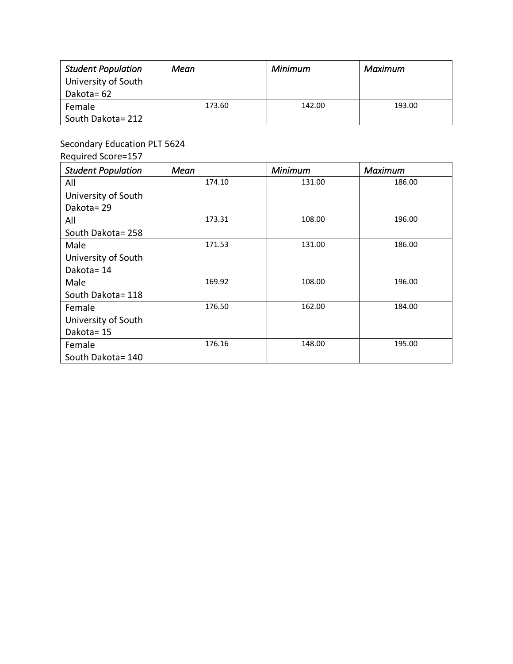| <b>Student Population</b> | Mean   | Minimum | Maximum |
|---------------------------|--------|---------|---------|
| University of South       |        |         |         |
| Dakota= 62                |        |         |         |
| Female                    | 173.60 | 142.00  | 193.00  |
| South Dakota= 212         |        |         |         |

Secondary Education PLT 5624

Required Score=157

| <b>Student Population</b> | Mean   | Minimum | Maximum |
|---------------------------|--------|---------|---------|
| All                       | 174.10 | 131.00  | 186.00  |
| University of South       |        |         |         |
| Dakota=29                 |        |         |         |
| All                       | 173.31 | 108.00  | 196.00  |
| South Dakota=258          |        |         |         |
| Male                      | 171.53 | 131.00  | 186.00  |
| University of South       |        |         |         |
| Dakota=14                 |        |         |         |
| Male                      | 169.92 | 108.00  | 196.00  |
| South Dakota= 118         |        |         |         |
| Female                    | 176.50 | 162.00  | 184.00  |
| University of South       |        |         |         |
| Dakota=15                 |        |         |         |
| Female                    | 176.16 | 148.00  | 195.00  |
| South Dakota= 140         |        |         |         |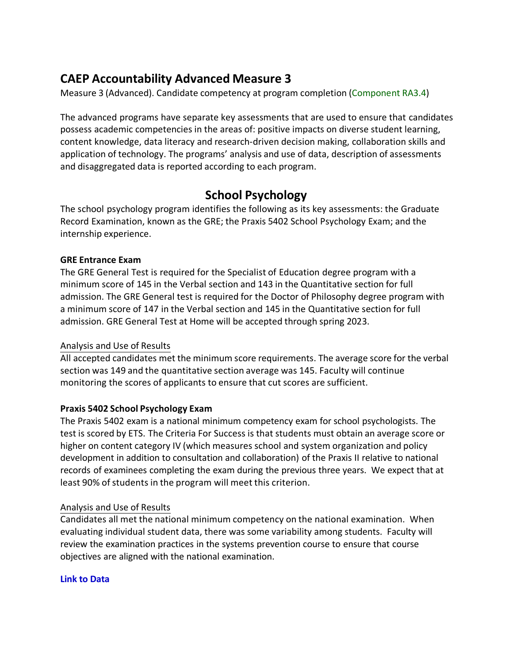## **CAEP Accountability Advanced Measure 3**

Measure 3 (Advanced). Candidate competency at program completion (Component RA3.4)

The advanced programs have separate key assessments that are used to ensure that candidates possess academic competencies in the areas of: positive impacts on diverse student learning, content knowledge, data literacy and research-driven decision making, collaboration skills and application of technology. The programs' analysis and use of data, description of assessments and disaggregated data is reported according to each program.

## **School Psychology**

The school psychology program identifies the following as its key assessments: the Graduate Record Examination, known as the GRE; the Praxis 5402 School Psychology Exam; and the internship experience.

### **GRE Entrance Exam**

The GRE General Test is required for the Specialist of Education degree program with a minimum score of 145 in the Verbal section and 143 in the Quantitative section for full admission. The GRE General test is required for the Doctor of Philosophy degree program with a minimum score of 147 in the Verbal section and 145 in the Quantitative section for full admission. GRE General Test at Home will be accepted through spring 2023.

### Analysis and Use of Results

All accepted candidates met the minimum score requirements. The average score for the verbal section was 149 and the quantitative section average was 145. Faculty will continue monitoring the scores of applicants to ensure that cut scores are sufficient.

### **Praxis 5402 School Psychology Exam**

The Praxis 5402 exam is a national minimum competency exam for school psychologists. The test is scored by ETS. The Criteria For Success is that students must obtain an average score or higher on content category IV (which measures school and system organization and policy development in addition to consultation and collaboration) of the Praxis II relative to national records of examinees completing the exam during the previous three years. We expect that at least 90% of students in the program will meet this criterion.

### Analysis and Use of Results

Candidates all met the national minimum competency on the national examination. When evaluating individual student data, there was some variability among students. Faculty will review the examination practices in the systems prevention course to ensure that course objectives are aligned with the national examination.

### **[Link to Data](#page-29-0)**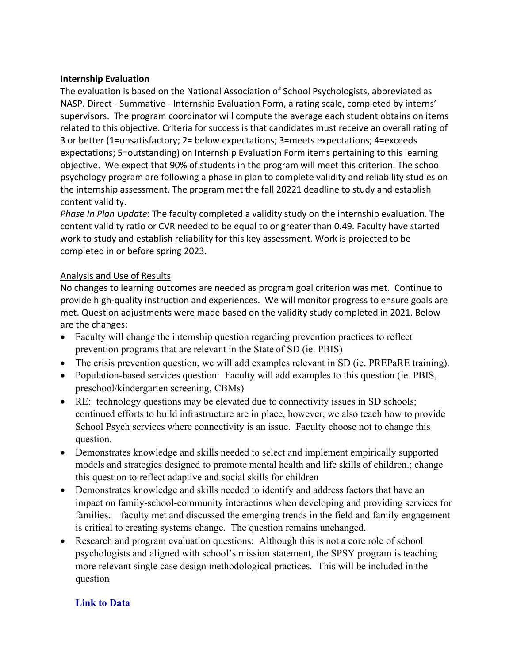#### **Internship Evaluation**

The evaluation is based on the National Association of School Psychologists, abbreviated as NASP. Direct - Summative - Internship Evaluation Form, a rating scale, completed by interns' supervisors. The program coordinator will compute the average each student obtains on items related to this objective. Criteria for success is that candidates must receive an overall rating of 3 or better (1=unsatisfactory; 2= below expectations; 3=meets expectations; 4=exceeds expectations; 5=outstanding) on Internship Evaluation Form items pertaining to this learning objective. We expect that 90% of students in the program will meet this criterion. The school psychology program are following a phase in plan to complete validity and reliability studies on the internship assessment. The program met the fall 20221 deadline to study and establish content validity.

*Phase In Plan Update*: The faculty completed a validity study on the internship evaluation. The content validity ratio or CVR needed to be equal to or greater than 0.49. Faculty have started work to study and establish reliability for this key assessment. Work is projected to be completed in or before spring 2023.

#### Analysis and Use of Results

No changes to learning outcomes are needed as program goal criterion was met. Continue to provide high-quality instruction and experiences. We will monitor progress to ensure goals are met. Question adjustments were made based on the validity study completed in 2021. Below are the changes:

- Faculty will change the internship question regarding prevention practices to reflect prevention programs that are relevant in the State of SD (ie. PBIS)
- The crisis prevention question, we will add examples relevant in SD (ie. PREPaRE training).
- Population-based services question: Faculty will add examples to this question (ie. PBIS, preschool/kindergarten screening, CBMs)
- RE: technology questions may be elevated due to connectivity issues in SD schools; continued efforts to build infrastructure are in place, however, we also teach how to provide School Psych services where connectivity is an issue. Faculty choose not to change this question.
- Demonstrates knowledge and skills needed to select and implement empirically supported models and strategies designed to promote mental health and life skills of children.; change this question to reflect adaptive and social skills for children
- Demonstrates knowledge and skills needed to identify and address factors that have an impact on family-school-community interactions when developing and providing services for families.—faculty met and discussed the emerging trends in the field and family engagement is critical to creating systems change. The question remains unchanged.
- Research and program evaluation questions: Although this is not a core role of school psychologists and aligned with school's mission statement, the SPSY program is teaching more relevant single case design methodological practices. This will be included in the question

### **[Link to Data](#page-29-0)**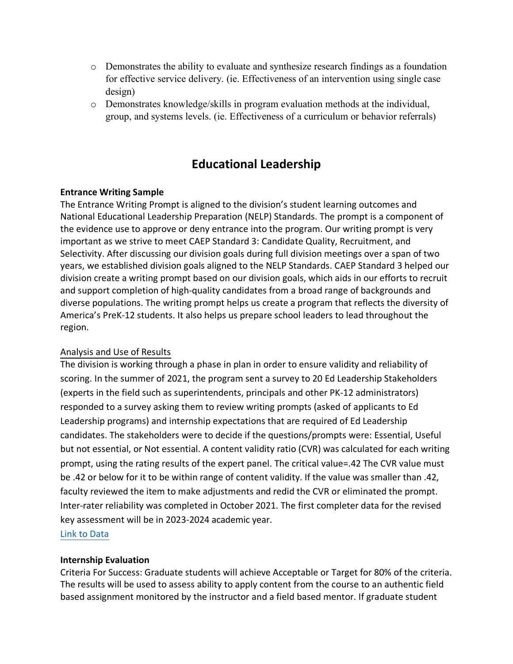- o Demonstrates the ability to evaluate and synthesize research findings as a foundation for effective service delivery. (ie. Effectiveness of an intervention using single case design)
- o Demonstrates knowledge/skills in program evaluation methods at the individual, group, and systems levels. (ie. Effectiveness of a curriculum or behavior referrals)

## **Educational Leadership**

### **Entrance Writing Sample**

The Entrance Writing Prompt is aligned to the division's student learning outcomes and National Educational Leadership Preparation (NELP) Standards. The prompt is a component of the evidence use to approve or deny entrance into the program. Our writing prompt is very important as we strive to meet CAEP Standard 3: Candidate Quality, Recruitment, and Selectivity. After discussing our division goals during full division meetings over a span of two years, we established division goals aligned to the NELP Standards. CAEP Standard 3 helped our division create a writing prompt based on our division goals, which aids in our efforts to recruit and support completion of high-quality candidates from a broad range of backgrounds and diverse populations. The writing prompt helps us create a program that reflects the diversity of America's PreK-12 students. It also helps us prepare school leaders to lead throughout the region.

### Analysis and Use of Results

The division is working through a phase in plan in order to ensure validity and reliability of scoring. In the summer of 2021, the program sent a survey to 20 Ed Leadership Stakeholders (experts in the field such as superintendents, principals and other PK-12 administrators) responded to a survey asking them to review writing prompts (asked of applicants to Ed Leadership programs) and internship expectations that are required of Ed Leadership candidates. The stakeholders were to decide if the questions/prompts were: Essential, Useful but not essential, or Not essential. A content validity ratio (CVR) was calculated for each writing prompt, using the rating results of the expert panel. The critical value=.42 The CVR value must be .42 or below for it to be within range of content validity. If the value was smaller than .42, faculty reviewed the item to make adjustments and redid the CVR or eliminated the prompt. Inter-rater reliability was completed in October 2021. The first completer data for the revised key assessment will be in 2023-2024 academic year.

[Link to Data](#page-30-0)

#### **Internship Evaluation**

Criteria For Success: Graduate students will achieve Acceptable or Target for 80% of the criteria. The results will be used to assess ability to apply content from the course to an authentic field based assignment monitored by the instructor and a field based mentor. If graduate student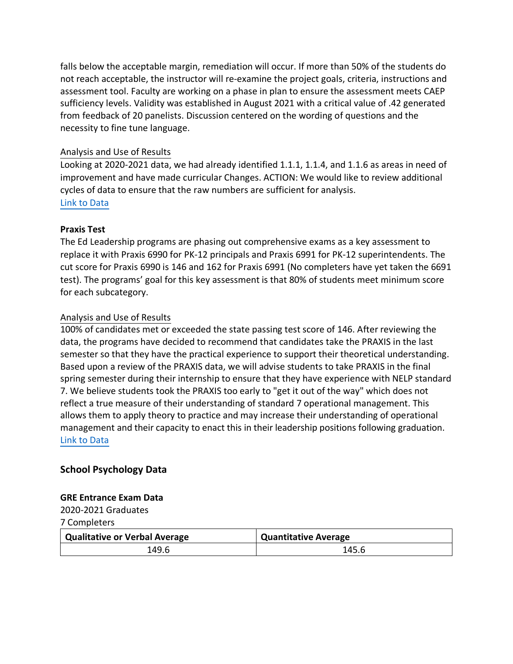falls below the acceptable margin, remediation will occur. If more than 50% of the students do not reach acceptable, the instructor will re-examine the project goals, criteria, instructions and assessment tool. Faculty are working on a phase in plan to ensure the assessment meets CAEP sufficiency levels. Validity was established in August 2021 with a critical value of .42 generated from feedback of 20 panelists. Discussion centered on the wording of questions and the necessity to fine tune language.

### Analysis and Use of Results

Looking at 2020-2021 data, we had already identified 1.1.1, 1.1.4, and 1.1.6 as areas in need of improvement and have made curricular Changes. ACTION: We would like to review additional cycles of data to ensure that the raw numbers are sufficient for analysis. [Link to Data](#page-31-0)

### **Praxis Test**

The Ed Leadership programs are phasing out comprehensive exams as a key assessment to replace it with Praxis 6990 for PK-12 principals and Praxis 6991 for PK-12 superintendents. The cut score for Praxis 6990 is 146 and 162 for Praxis 6991 (No completers have yet taken the 6691 test). The programs' goal for this key assessment is that 80% of students meet minimum score for each subcategory.

### Analysis and Use of Results

100% of candidates met or exceeded the state passing test score of 146. After reviewing the data, the programs have decided to recommend that candidates take the PRAXIS in the last semester so that they have the practical experience to support their theoretical understanding. Based upon a review of the PRAXIS data, we will advise students to take PRAXIS in the final spring semester during their internship to ensure that they have experience with NELP standard 7. We believe students took the PRAXIS too early to "get it out of the way" which does not reflect a true measure of their understanding of standard 7 operational management. This allows them to apply theory to practice and may increase their understanding of operational management and their capacity to enact this in their leadership positions following graduation. [Link to Data](#page-38-0)

### **School Psychology Data**

#### **GRE Entrance Exam Data**

2020-2021 Graduates

7 Completers

| <b>Qualitative or Verbal Average</b> | Quantitative Average |
|--------------------------------------|----------------------|
| 149.6                                | 145.6                |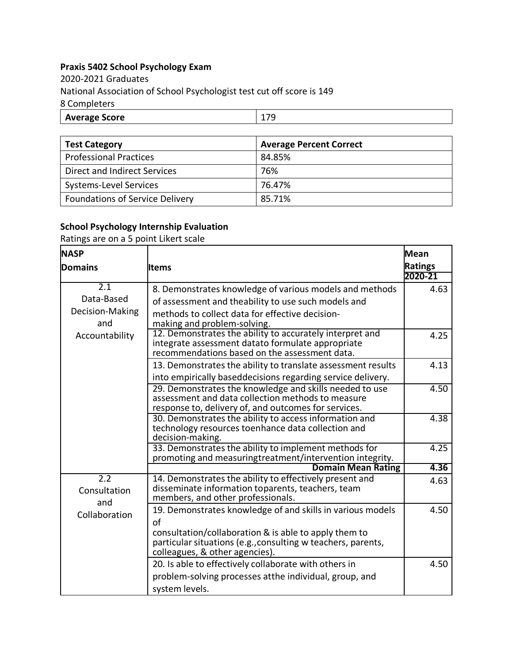## <span id="page-29-0"></span>**Praxis 5402 School Psychology Exam**

2020-2021 Graduates National Association of School Psychologist test cut off score is 149 8 Completers

| <b>Average Score</b> |  |
|----------------------|--|
|                      |  |

| <b>Test Category</b>                   | <b>Average Percent Correct</b> |
|----------------------------------------|--------------------------------|
| <b>Professional Practices</b>          | 84.85%                         |
| Direct and Indirect Services           | 76%                            |
| Systems-Level Services                 | 76.47%                         |
| <b>Foundations of Service Delivery</b> | 85.71%                         |

### **School Psychology Internship Evaluation**

Ratings are on a 5 point Likert scale

| <b>NASP</b>                             |                                                                                                                                                                                                                             | <b>Mean</b>    |
|-----------------------------------------|-----------------------------------------------------------------------------------------------------------------------------------------------------------------------------------------------------------------------------|----------------|
| <b>Domains</b>                          | lltems                                                                                                                                                                                                                      | <b>Ratings</b> |
|                                         |                                                                                                                                                                                                                             | 2020-21        |
| 2.1<br>Data-Based<br>Decision-Making    | 8. Demonstrates knowledge of various models and methods<br>of assessment and theability to use such models and<br>methods to collect data for effective decision-                                                           | 4.63           |
| and<br>Accountability                   | making and problem-solving.<br>12. Demonstrates the ability to accurately interpret and<br>integrate assessment datato formulate appropriate<br>recommendations based on the assessment data.                               | 4.25           |
|                                         | 13. Demonstrates the ability to translate assessment results<br>into empirically baseddecisions regarding service delivery.                                                                                                 | 4.13           |
|                                         | 29. Demonstrates the knowledge and skills needed to use<br>assessment and data collection methods to measure<br>response to, delivery of, and outcomes for services.                                                        | 4.50           |
|                                         | 30. Demonstrates the ability to access information and<br>technology resources toenhance data collection and<br>decision-making.                                                                                            | 4.38           |
|                                         | 33. Demonstrates the ability to implement methods for<br>promoting and measuringtreatment/intervention integrity.                                                                                                           | 4.25           |
|                                         | <b>Domain Mean Rating</b>                                                                                                                                                                                                   | 4.36           |
| $\overline{2.2}$<br>Consultation<br>and | 14. Demonstrates the ability to effectively present and<br>disseminate information toparents, teachers, team<br>members, and other professionals.                                                                           | 4.63           |
| Collaboration                           | 19. Demonstrates knowledge of and skills in various models<br>of<br>consultation/collaboration & is able to apply them to<br>particular situations (e.g., consulting w teachers, parents,<br>colleagues, & other agencies). | 4.50           |
|                                         | 20. Is able to effectively collaborate with others in<br>problem-solving processes atthe individual, group, and<br>system levels.                                                                                           | 4.50           |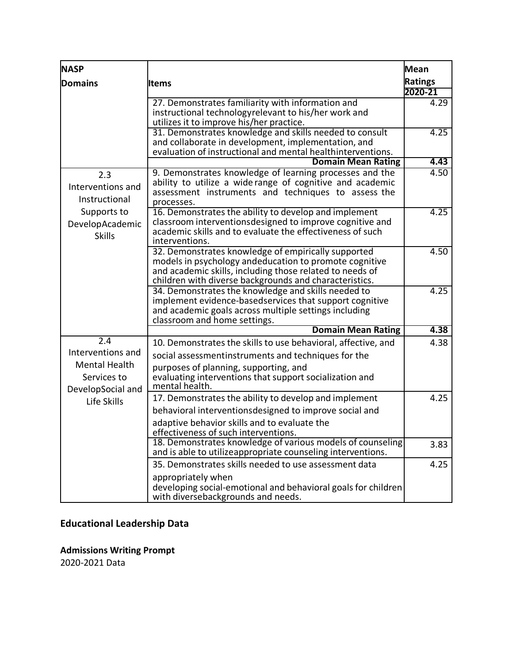<span id="page-30-0"></span>

| <b>NASP</b>                      |                                                                                                                           | <b>Mean</b>    |
|----------------------------------|---------------------------------------------------------------------------------------------------------------------------|----------------|
| <b>Domains</b>                   | ltems                                                                                                                     | <b>Ratings</b> |
|                                  |                                                                                                                           | 2020-21        |
|                                  | 27. Demonstrates familiarity with information and                                                                         | 4.29           |
|                                  | instructional technologyrelevant to his/her work and                                                                      |                |
|                                  | utilizes it to improve his/her practice.<br>31. Demonstrates knowledge and skills needed to consult                       | 4.25           |
|                                  | and collaborate in development, implementation, and                                                                       |                |
|                                  | evaluation of instructional and mental healthinterventions.                                                               |                |
|                                  | <b>Domain Mean Rating</b>                                                                                                 | 4.43           |
| 2.3                              | 9. Demonstrates knowledge of learning processes and the                                                                   | 4.50           |
| Interventions and                | ability to utilize a wide range of cognitive and academic<br>assessment instruments and techniques to assess the          |                |
| Instructional                    | processes.                                                                                                                |                |
| Supports to                      | 16. Demonstrates the ability to develop and implement                                                                     | 4.25           |
| DevelopAcademic                  | classroom interventions designed to improve cognitive and                                                                 |                |
| <b>Skills</b>                    | academic skills and to evaluate the effectiveness of such                                                                 |                |
|                                  | interventions.<br>32. Demonstrates knowledge of empirically supported                                                     | 4.50           |
|                                  | models in psychology andeducation to promote cognitive                                                                    |                |
|                                  | and academic skills, including those related to needs of                                                                  |                |
|                                  | children with diverse backgrounds and characteristics.                                                                    |                |
|                                  | 34. Demonstrates the knowledge and skills needed to                                                                       | 4.25           |
|                                  | implement evidence-basedservices that support cognitive<br>and academic goals across multiple settings including          |                |
|                                  | classroom and home settings.                                                                                              |                |
|                                  | <b>Domain Mean Rating</b>                                                                                                 | 4.38           |
| $\overline{2.4}$                 | 10. Demonstrates the skills to use behavioral, affective, and                                                             | 4.38           |
| Interventions and                | social assessmentinstruments and techniques for the                                                                       |                |
| Mental Health                    | purposes of planning, supporting, and                                                                                     |                |
| Services to                      | evaluating interventions that support socialization and<br>mental health.                                                 |                |
| DevelopSocial and<br>Life Skills | 17. Demonstrates the ability to develop and implement                                                                     | 4.25           |
|                                  | behavioral interventionsdesigned to improve social and                                                                    |                |
|                                  | adaptive behavior skills and to evaluate the                                                                              |                |
|                                  | effectiveness of such interventions                                                                                       |                |
|                                  | 18. Demonstrates knowledge of various models of counseling<br>and is able to utilizeappropriate counseling interventions. | 3.83           |
|                                  | 35. Demonstrates skills needed to use assessment data                                                                     | 4.25           |
|                                  | appropriately when                                                                                                        |                |
|                                  | developing social-emotional and behavioral goals for children                                                             |                |
|                                  | with diversebackgrounds and needs.                                                                                        |                |

# **Educational Leadership Data**

**Admissions Writing Prompt** 2020-2021 Data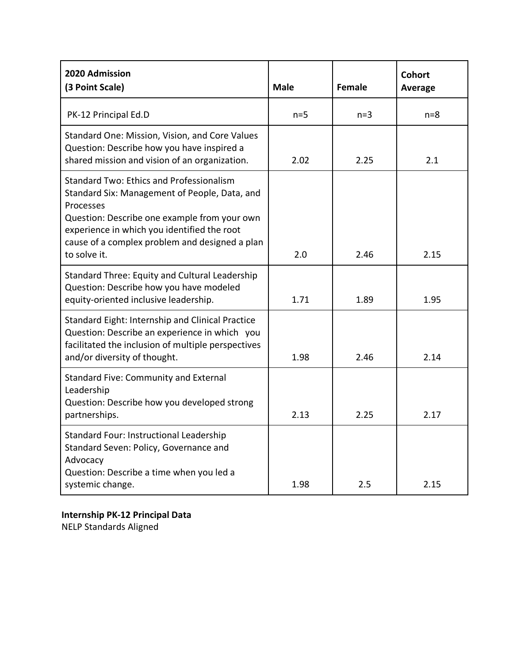<span id="page-31-0"></span>

| 2020 Admission<br>(3 Point Scale)                                                                                                                                                                                                                                              | <b>Male</b> | <b>Female</b> | <b>Cohort</b><br>Average |
|--------------------------------------------------------------------------------------------------------------------------------------------------------------------------------------------------------------------------------------------------------------------------------|-------------|---------------|--------------------------|
| PK-12 Principal Ed.D                                                                                                                                                                                                                                                           | $n=5$       | $n=3$         | $n = 8$                  |
| Standard One: Mission, Vision, and Core Values<br>Question: Describe how you have inspired a<br>shared mission and vision of an organization.                                                                                                                                  | 2.02        | 2.25          | 2.1                      |
| <b>Standard Two: Ethics and Professionalism</b><br>Standard Six: Management of People, Data, and<br>Processes<br>Question: Describe one example from your own<br>experience in which you identified the root<br>cause of a complex problem and designed a plan<br>to solve it. | 2.0         | 2.46          | 2.15                     |
| Standard Three: Equity and Cultural Leadership<br>Question: Describe how you have modeled<br>equity-oriented inclusive leadership.                                                                                                                                             | 1.71        | 1.89          | 1.95                     |
| Standard Eight: Internship and Clinical Practice<br>Question: Describe an experience in which you<br>facilitated the inclusion of multiple perspectives<br>and/or diversity of thought.                                                                                        | 1.98        | 2.46          | 2.14                     |
| <b>Standard Five: Community and External</b><br>Leadership<br>Question: Describe how you developed strong<br>partnerships.                                                                                                                                                     | 2.13        | 2.25          | 2.17                     |
| Standard Four: Instructional Leadership<br>Standard Seven: Policy, Governance and<br>Advocacy<br>Question: Describe a time when you led a<br>systemic change.                                                                                                                  | 1.98        | 2.5           | 2.15                     |

## **Internship PK-12 Principal Data**

NELP Standards Aligned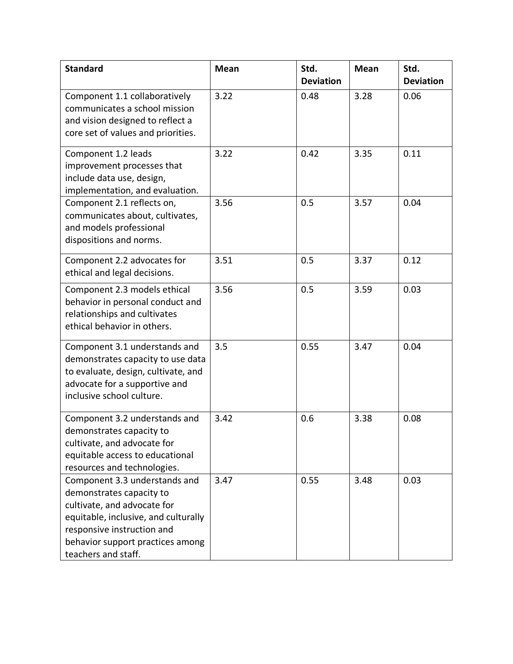| <b>Standard</b>                                                                                                                                                                                                           | <b>Mean</b> | Std.<br><b>Deviation</b> | <b>Mean</b> | Std.<br><b>Deviation</b> |
|---------------------------------------------------------------------------------------------------------------------------------------------------------------------------------------------------------------------------|-------------|--------------------------|-------------|--------------------------|
| Component 1.1 collaboratively<br>communicates a school mission<br>and vision designed to reflect a<br>core set of values and priorities.                                                                                  | 3.22        | 0.48                     | 3.28        | 0.06                     |
| Component 1.2 leads<br>improvement processes that<br>include data use, design,<br>implementation, and evaluation.                                                                                                         | 3.22        | 0.42                     | 3.35        | 0.11                     |
| Component 2.1 reflects on,<br>communicates about, cultivates,<br>and models professional<br>dispositions and norms.                                                                                                       | 3.56        | 0.5                      | 3.57        | 0.04                     |
| Component 2.2 advocates for<br>ethical and legal decisions.                                                                                                                                                               | 3.51        | 0.5                      | 3.37        | 0.12                     |
| Component 2.3 models ethical<br>behavior in personal conduct and<br>relationships and cultivates<br>ethical behavior in others.                                                                                           | 3.56        | 0.5                      | 3.59        | 0.03                     |
| Component 3.1 understands and<br>demonstrates capacity to use data<br>to evaluate, design, cultivate, and<br>advocate for a supportive and<br>inclusive school culture.                                                   | 3.5         | 0.55                     | 3.47        | 0.04                     |
| Component 3.2 understands and<br>demonstrates capacity to<br>cultivate, and advocate for<br>equitable access to educational<br>resources and technologies.                                                                | 3.42        | 0.6                      | 3.38        | 0.08                     |
| Component 3.3 understands and<br>demonstrates capacity to<br>cultivate, and advocate for<br>equitable, inclusive, and culturally<br>responsive instruction and<br>behavior support practices among<br>teachers and staff. | 3.47        | 0.55                     | 3.48        | 0.03                     |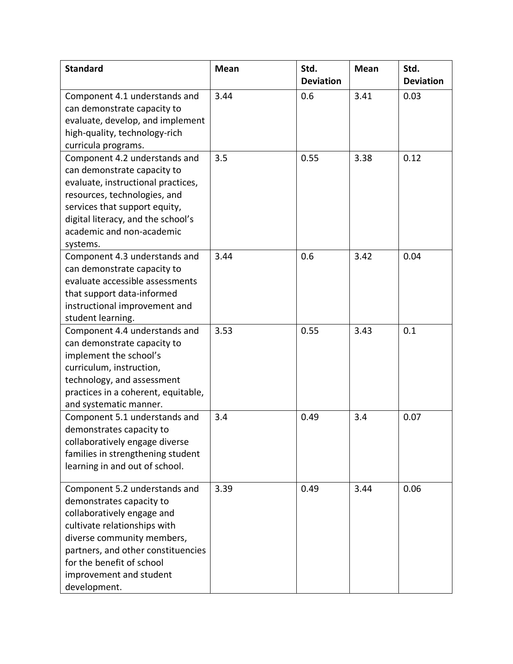| <b>Standard</b>                                                                                                                                                                                                                                                     | <b>Mean</b> | Std.<br><b>Deviation</b> | <b>Mean</b> | Std.<br><b>Deviation</b> |
|---------------------------------------------------------------------------------------------------------------------------------------------------------------------------------------------------------------------------------------------------------------------|-------------|--------------------------|-------------|--------------------------|
| Component 4.1 understands and<br>can demonstrate capacity to<br>evaluate, develop, and implement<br>high-quality, technology-rich<br>curricula programs.                                                                                                            | 3.44        | 0.6                      | 3.41        | 0.03                     |
| Component 4.2 understands and<br>can demonstrate capacity to<br>evaluate, instructional practices,<br>resources, technologies, and<br>services that support equity,<br>digital literacy, and the school's<br>academic and non-academic<br>systems.                  | 3.5         | 0.55                     | 3.38        | 0.12                     |
| Component 4.3 understands and<br>can demonstrate capacity to<br>evaluate accessible assessments<br>that support data-informed<br>instructional improvement and<br>student learning.                                                                                 | 3.44        | 0.6                      | 3.42        | 0.04                     |
| Component 4.4 understands and<br>can demonstrate capacity to<br>implement the school's<br>curriculum, instruction,<br>technology, and assessment<br>practices in a coherent, equitable,<br>and systematic manner.                                                   | 3.53        | 0.55                     | 3.43        | 0.1                      |
| Component 5.1 understands and<br>demonstrates capacity to<br>collaboratively engage diverse<br>families in strengthening student<br>learning in and out of school.                                                                                                  | 3.4         | 0.49                     | 3.4         | 0.07                     |
| Component 5.2 understands and<br>demonstrates capacity to<br>collaboratively engage and<br>cultivate relationships with<br>diverse community members,<br>partners, and other constituencies<br>for the benefit of school<br>improvement and student<br>development. | 3.39        | 0.49                     | 3.44        | 0.06                     |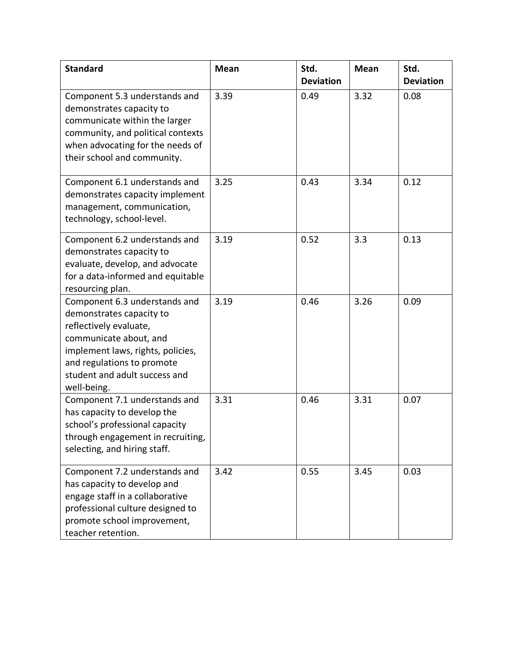| <b>Standard</b>                                                                                                                                                                                                                  | <b>Mean</b> | Std.<br><b>Deviation</b> | <b>Mean</b> | Std.<br><b>Deviation</b> |
|----------------------------------------------------------------------------------------------------------------------------------------------------------------------------------------------------------------------------------|-------------|--------------------------|-------------|--------------------------|
| Component 5.3 understands and<br>demonstrates capacity to<br>communicate within the larger<br>community, and political contexts<br>when advocating for the needs of<br>their school and community.                               | 3.39        | 0.49                     | 3.32        | 0.08                     |
| Component 6.1 understands and<br>demonstrates capacity implement<br>management, communication,<br>technology, school-level.                                                                                                      | 3.25        | 0.43                     | 3.34        | 0.12                     |
| Component 6.2 understands and<br>demonstrates capacity to<br>evaluate, develop, and advocate<br>for a data-informed and equitable<br>resourcing plan.                                                                            | 3.19        | 0.52                     | 3.3         | 0.13                     |
| Component 6.3 understands and<br>demonstrates capacity to<br>reflectively evaluate,<br>communicate about, and<br>implement laws, rights, policies,<br>and regulations to promote<br>student and adult success and<br>well-being. | 3.19        | 0.46                     | 3.26        | 0.09                     |
| Component 7.1 understands and<br>has capacity to develop the<br>school's professional capacity<br>through engagement in recruiting,<br>selecting, and hiring staff.                                                              | 3.31        | 0.46                     | 3.31        | 0.07                     |
| Component 7.2 understands and<br>has capacity to develop and<br>engage staff in a collaborative<br>professional culture designed to<br>promote school improvement,<br>teacher retention.                                         | 3.42        | 0.55                     | 3.45        | 0.03                     |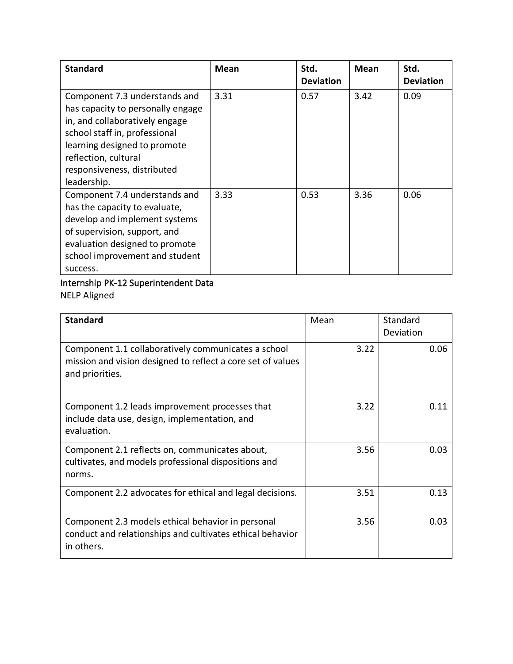| <b>Standard</b>                                                                                                                                                                                                                             | <b>Mean</b> | Std.<br><b>Deviation</b> | <b>Mean</b> | Std.<br><b>Deviation</b> |
|---------------------------------------------------------------------------------------------------------------------------------------------------------------------------------------------------------------------------------------------|-------------|--------------------------|-------------|--------------------------|
| Component 7.3 understands and<br>has capacity to personally engage<br>in, and collaboratively engage<br>school staff in, professional<br>learning designed to promote<br>reflection, cultural<br>responsiveness, distributed<br>leadership. | 3.31        | 0.57                     | 3.42        | 0.09                     |
| Component 7.4 understands and<br>has the capacity to evaluate,<br>develop and implement systems<br>of supervision, support, and<br>evaluation designed to promote<br>school improvement and student<br>success.                             | 3.33        | 0.53                     | 3.36        | 0.06                     |

## Internship PK-12 Superintendent Data NELP Aligned

| <b>Standard</b>                                                                                                                       | Mean | Standard<br>Deviation |
|---------------------------------------------------------------------------------------------------------------------------------------|------|-----------------------|
| Component 1.1 collaboratively communicates a school<br>mission and vision designed to reflect a core set of values<br>and priorities. | 3.22 | 0.06                  |
| Component 1.2 leads improvement processes that<br>include data use, design, implementation, and<br>evaluation.                        | 3.22 | 0.11                  |
| Component 2.1 reflects on, communicates about,<br>cultivates, and models professional dispositions and<br>norms.                      | 3.56 | 0.03                  |
| Component 2.2 advocates for ethical and legal decisions.                                                                              | 3.51 | 0.13                  |
| Component 2.3 models ethical behavior in personal<br>conduct and relationships and cultivates ethical behavior<br>in others.          | 3.56 | 0.03                  |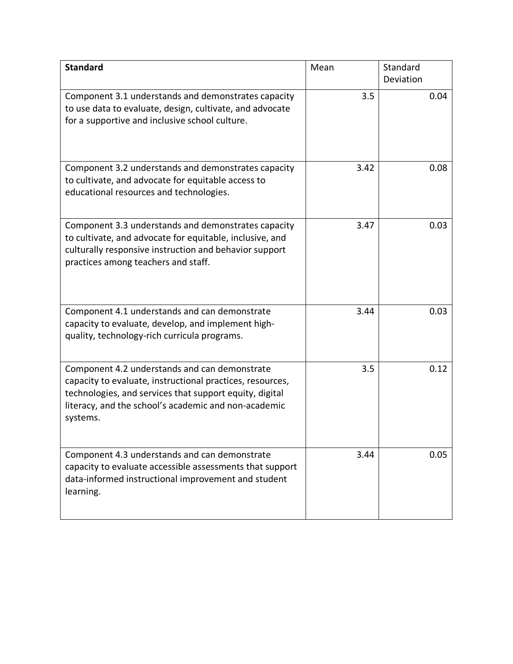| <b>Standard</b>                                                                                                                                                                                                                           | Mean | Standard  |
|-------------------------------------------------------------------------------------------------------------------------------------------------------------------------------------------------------------------------------------------|------|-----------|
|                                                                                                                                                                                                                                           |      | Deviation |
| Component 3.1 understands and demonstrates capacity<br>to use data to evaluate, design, cultivate, and advocate<br>for a supportive and inclusive school culture.                                                                         | 3.5  | 0.04      |
| Component 3.2 understands and demonstrates capacity<br>to cultivate, and advocate for equitable access to<br>educational resources and technologies.                                                                                      | 3.42 | 0.08      |
| Component 3.3 understands and demonstrates capacity<br>to cultivate, and advocate for equitable, inclusive, and<br>culturally responsive instruction and behavior support<br>practices among teachers and staff.                          | 3.47 | 0.03      |
| Component 4.1 understands and can demonstrate<br>capacity to evaluate, develop, and implement high-<br>quality, technology-rich curricula programs.                                                                                       | 3.44 | 0.03      |
| Component 4.2 understands and can demonstrate<br>capacity to evaluate, instructional practices, resources,<br>technologies, and services that support equity, digital<br>literacy, and the school's academic and non-academic<br>systems. | 3.5  | 0.12      |
| Component 4.3 understands and can demonstrate<br>capacity to evaluate accessible assessments that support<br>data-informed instructional improvement and student<br>learning.                                                             | 3.44 | 0.05      |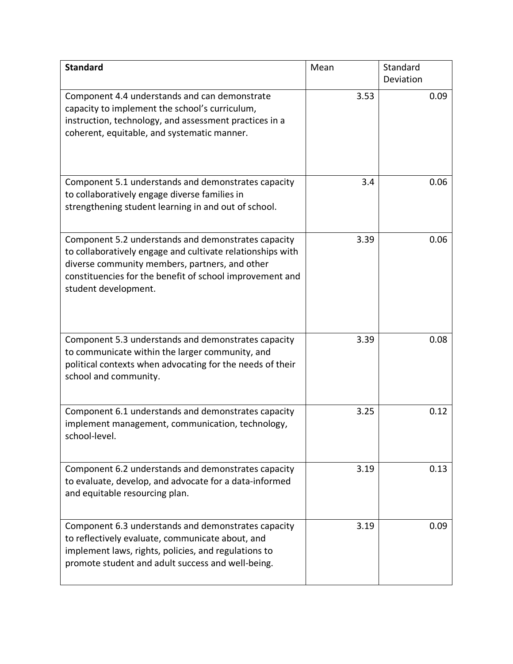| <b>Standard</b>                                                                                                                                                                                                                                         | Mean | Standard<br>Deviation |
|---------------------------------------------------------------------------------------------------------------------------------------------------------------------------------------------------------------------------------------------------------|------|-----------------------|
| Component 4.4 understands and can demonstrate<br>capacity to implement the school's curriculum,<br>instruction, technology, and assessment practices in a<br>coherent, equitable, and systematic manner.                                                | 3.53 | 0.09                  |
| Component 5.1 understands and demonstrates capacity<br>to collaboratively engage diverse families in<br>strengthening student learning in and out of school.                                                                                            | 3.4  | 0.06                  |
| Component 5.2 understands and demonstrates capacity<br>to collaboratively engage and cultivate relationships with<br>diverse community members, partners, and other<br>constituencies for the benefit of school improvement and<br>student development. | 3.39 | 0.06                  |
| Component 5.3 understands and demonstrates capacity<br>to communicate within the larger community, and<br>political contexts when advocating for the needs of their<br>school and community.                                                            | 3.39 | 0.08                  |
| Component 6.1 understands and demonstrates capacity<br>implement management, communication, technology,<br>school-level.                                                                                                                                | 3.25 | 0.12                  |
| Component 6.2 understands and demonstrates capacity<br>to evaluate, develop, and advocate for a data-informed<br>and equitable resourcing plan.                                                                                                         | 3.19 | 0.13                  |
| Component 6.3 understands and demonstrates capacity<br>to reflectively evaluate, communicate about, and<br>implement laws, rights, policies, and regulations to<br>promote student and adult success and well-being.                                    | 3.19 | 0.09                  |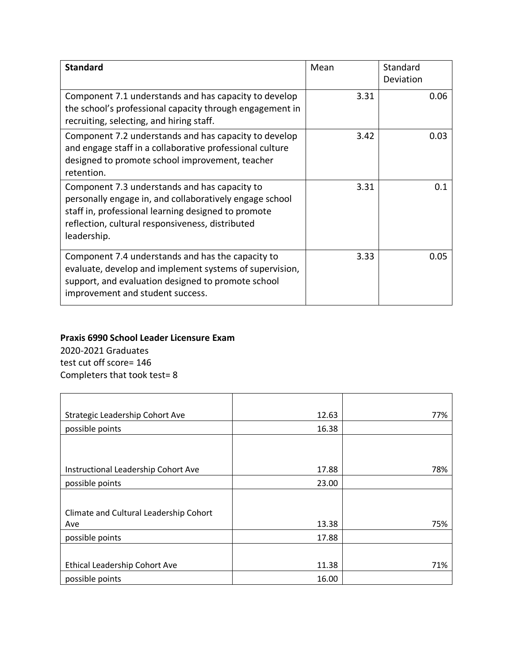<span id="page-38-0"></span>

| <b>Standard</b>                                                                                                                                                                                                                    | Mean | Standard<br>Deviation |
|------------------------------------------------------------------------------------------------------------------------------------------------------------------------------------------------------------------------------------|------|-----------------------|
| Component 7.1 understands and has capacity to develop<br>the school's professional capacity through engagement in<br>recruiting, selecting, and hiring staff.                                                                      | 3.31 | 0.06                  |
| Component 7.2 understands and has capacity to develop<br>and engage staff in a collaborative professional culture<br>designed to promote school improvement, teacher<br>retention.                                                 | 3.42 | 0.03                  |
| Component 7.3 understands and has capacity to<br>personally engage in, and collaboratively engage school<br>staff in, professional learning designed to promote<br>reflection, cultural responsiveness, distributed<br>leadership. | 3.31 | 0.1                   |
| Component 7.4 understands and has the capacity to<br>evaluate, develop and implement systems of supervision,<br>support, and evaluation designed to promote school<br>improvement and student success.                             | 3.33 | 0.05                  |

### **Praxis 6990 School Leader Licensure Exam**

2020-2021 Graduates test cut off score= 146 Completers that took test= 8

| Strategic Leadership Cohort Ave        | 12.63 | 77% |
|----------------------------------------|-------|-----|
| possible points                        | 16.38 |     |
|                                        |       |     |
|                                        |       |     |
| Instructional Leadership Cohort Ave    | 17.88 | 78% |
| possible points                        | 23.00 |     |
|                                        |       |     |
| Climate and Cultural Leadership Cohort |       |     |
| Ave                                    | 13.38 | 75% |
| possible points                        | 17.88 |     |
|                                        |       |     |
| Ethical Leadership Cohort Ave          | 11.38 | 71% |
| possible points                        | 16.00 |     |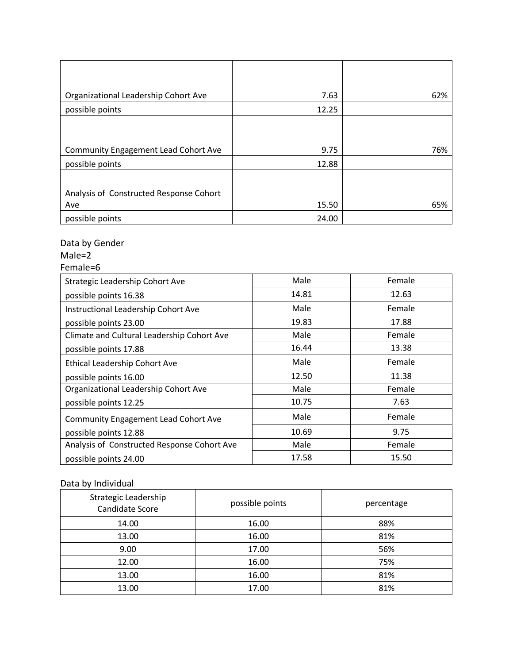| Organizational Leadership Cohort Ave        | 7.63  | 62% |
|---------------------------------------------|-------|-----|
| possible points                             | 12.25 |     |
|                                             |       |     |
|                                             |       |     |
| <b>Community Engagement Lead Cohort Ave</b> | 9.75  | 76% |
| possible points                             | 12.88 |     |
|                                             |       |     |
| Analysis of Constructed Response Cohort     |       |     |
| Ave                                         | 15.50 | 65% |
| possible points                             | 24.00 |     |

## Data by Gender

## Male=2

Female=6

| Strategic Leadership Cohort Ave             | Male  | Female |
|---------------------------------------------|-------|--------|
| possible points 16.38                       | 14.81 | 12.63  |
| Instructional Leadership Cohort Ave         | Male  | Female |
| possible points 23.00                       | 19.83 | 17.88  |
| Climate and Cultural Leadership Cohort Ave  | Male  | Female |
| possible points 17.88                       | 16.44 | 13.38  |
| Ethical Leadership Cohort Ave               | Male  | Female |
| possible points 16.00                       | 12.50 | 11.38  |
| Organizational Leadership Cohort Ave        | Male  | Female |
| possible points 12.25                       | 10.75 | 7.63   |
| <b>Community Engagement Lead Cohort Ave</b> | Male  | Female |
| possible points 12.88                       | 10.69 | 9.75   |
| Analysis of Constructed Response Cohort Ave | Male  | Female |
| possible points 24.00                       | 17.58 | 15.50  |

### Data by Individual

| Strategic Leadership<br>Candidate Score | possible points | percentage |
|-----------------------------------------|-----------------|------------|
| 14.00                                   | 16.00           | 88%        |
| 13.00                                   | 16.00           | 81%        |
| 9.00                                    | 17.00           | 56%        |
| 12.00                                   | 16.00           | 75%        |
| 13.00                                   | 16.00           | 81%        |
| 13.00                                   | 17.00           | 81%        |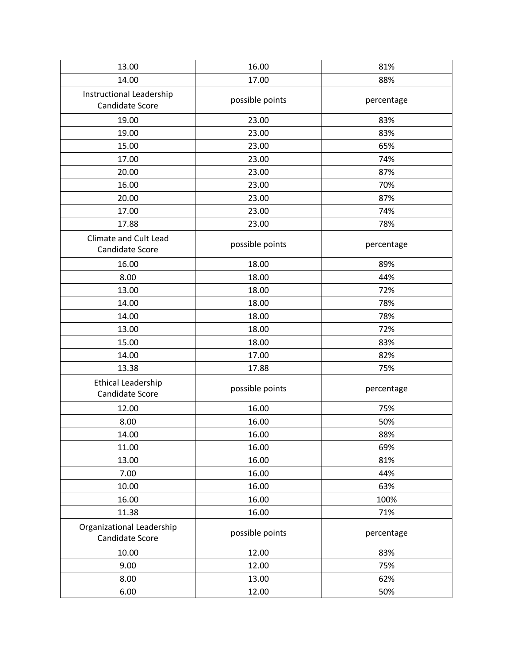| 13.00                                        | 16.00           | 81%        |
|----------------------------------------------|-----------------|------------|
| 14.00                                        | 17.00           | 88%        |
| Instructional Leadership<br>Candidate Score  | possible points | percentage |
| 19.00                                        | 23.00           | 83%        |
| 19.00                                        | 23.00           | 83%        |
| 15.00                                        | 23.00           | 65%        |
| 17.00                                        | 23.00           | 74%        |
| 20.00                                        | 23.00           | 87%        |
| 16.00                                        | 23.00           | 70%        |
| 20.00                                        | 23.00           | 87%        |
| 17.00                                        | 23.00           | 74%        |
| 17.88                                        | 23.00           | 78%        |
| Climate and Cult Lead<br>Candidate Score     | possible points | percentage |
| 16.00                                        | 18.00           | 89%        |
| 8.00                                         | 18.00           | 44%        |
| 13.00                                        | 18.00           | 72%        |
| 14.00                                        | 18.00           | 78%        |
| 14.00                                        | 18.00           | 78%        |
| 13.00                                        | 18.00           | 72%        |
| 15.00                                        | 18.00           | 83%        |
| 14.00                                        | 17.00           | 82%        |
| 13.38                                        | 17.88           | 75%        |
| <b>Ethical Leadership</b><br>Candidate Score | possible points | percentage |
| 12.00                                        | 16.00           | 75%        |
| 8.00                                         | 16.00           | 50%        |
| 14.00                                        | 16.00           | 88%        |
| 11.00                                        | 16.00           | 69%        |
| 13.00                                        | 16.00           | 81%        |
| 7.00                                         | 16.00           | 44%        |
| 10.00                                        | 16.00           | 63%        |
| 16.00                                        | 16.00           | 100%       |
| 11.38                                        | 16.00           | 71%        |
| Organizational Leadership<br>Candidate Score | possible points | percentage |
| 10.00                                        | 12.00           | 83%        |
| 9.00                                         | 12.00           | 75%        |
| 8.00                                         | 13.00           | 62%        |
| 6.00                                         | 12.00           | 50%        |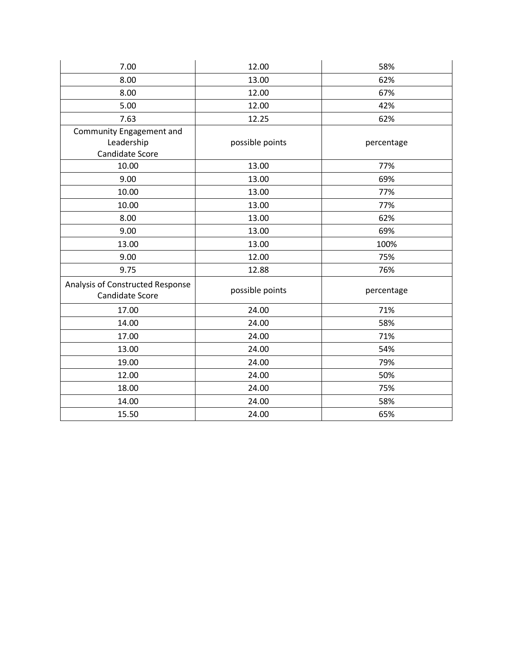| 7.00                                                | 12.00           | 58%        |
|-----------------------------------------------------|-----------------|------------|
| 8.00                                                | 13.00           | 62%        |
| 8.00                                                | 12.00           | 67%        |
| 5.00                                                | 12.00           | 42%        |
| 7.63                                                | 12.25           | 62%        |
| Community Engagement and                            |                 |            |
| Leadership                                          | possible points | percentage |
| Candidate Score                                     |                 |            |
| 10.00                                               | 13.00           | 77%        |
| 9.00                                                | 13.00           | 69%        |
| 10.00                                               | 13.00           | 77%        |
| 10.00                                               | 13.00           | 77%        |
| 8.00                                                | 13.00           | 62%        |
| 9.00                                                | 13.00           | 69%        |
| 13.00                                               | 13.00           | 100%       |
| 9.00                                                | 12.00           | 75%        |
| 9.75                                                | 12.88           | 76%        |
| Analysis of Constructed Response<br>Candidate Score | possible points | percentage |
| 17.00                                               | 24.00           | 71%        |
| 14.00                                               | 24.00           | 58%        |
| 17.00                                               | 24.00           | 71%        |
| 13.00                                               | 24.00           | 54%        |
| 19.00                                               | 24.00           | 79%        |
| 12.00                                               | 24.00           | 50%        |
| 18.00                                               | 24.00           | 75%        |
| 14.00                                               | 24.00           | 58%        |
| 15.50                                               | 24.00           | 65%        |